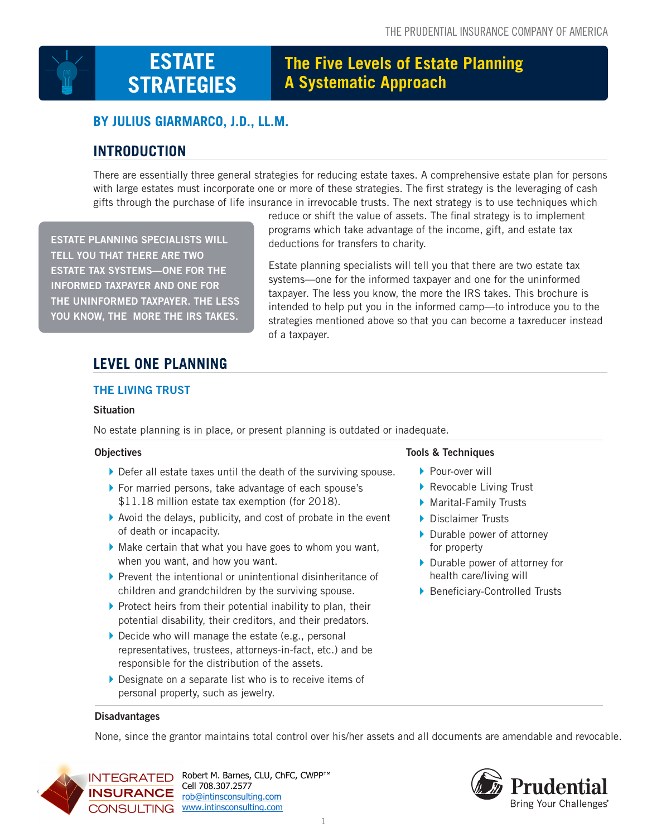

# **The Five Levels of Estate Planning A Systematic Approach**

# **BY JULIUS GIARMARCO, J.D., LL.M.**

# **INTRODUCTION**

There are essentially three general strategies for reducing estate taxes. A comprehensive estate plan for persons with large estates must incorporate one or more of these strategies. The first strategy is the leveraging of cash gifts through the purchase of life insurance in irrevocable trusts. The next strategy is to use techniques which

**ESTATE PLANNING SPECIALISTS WILL TELL YOU THAT THERE ARE TWO ESTATE TAX SYSTEMS—ONE FOR THE INFORMED TAXPAYER AND ONE FOR THE UNINFORMED TAXPAYER. THE LESS YOU KNOW, THE MORE THE IRS TAKES.**

reduce or shift the value of assets. The final strategy is to implement programs which take advantage of the income, gift, and estate tax deductions for transfers to charity.

Estate planning specialists will tell you that there are two estate tax systems—one for the informed taxpayer and one for the uninformed taxpayer. The less you know, the more the IRS takes. This brochure is intended to help put you in the informed camp—to introduce you to the strategies mentioned above so that you can become a taxreducer instead of a taxpayer.

# **LEVEL ONE PLANNING**

# **THE LIVING TRUST**

### **Situation**

No estate planning is in place, or present planning is outdated or inadequate.

### **Objectives**

- } Defer all estate taxes until the death of the surviving spouse.
- } For married persons, take advantage of each spouse's \$11.18 million estate tax exemption (for 2018).
- $\blacktriangleright$  Avoid the delays, publicity, and cost of probate in the event of death or incapacity.
- $\blacktriangleright$  Make certain that what you have goes to whom you want, when you want, and how you want.
- $\blacktriangleright$  Prevent the intentional or unintentional disinheritance of children and grandchildren by the surviving spouse.
- $\blacktriangleright$  Protect heirs from their potential inability to plan, their potential disability, their creditors, and their predators.
- $\triangleright$  Decide who will manage the estate (e.g., personal representatives, trustees, attorneys-in-fact, etc.) and be responsible for the distribution of the assets.
- } Designate on a separate list who is to receive items of personal property, such as jewelry.

## **Tools & Techniques**

- ▶ Pour-over will
- Revocable Living Trust
- ▶ Marital-Family Trusts
- ▶ Disclaimer Trusts
- **Durable power of attorney** for property
- ▶ Durable power of attorney for health care/living will
- **Beneficiary-Controlled Trusts**

#### **Disadvantages**

None, since the grantor maintains total control over his/her assets and all documents are amendable and revocable.



Cell 708.307.2577 **1005 CONSULTING** www.intinsconsulting.com INTEGRATED Robert M. Barnes, CLU, ChFC, CWPP™ rob@intinsconsulting.com

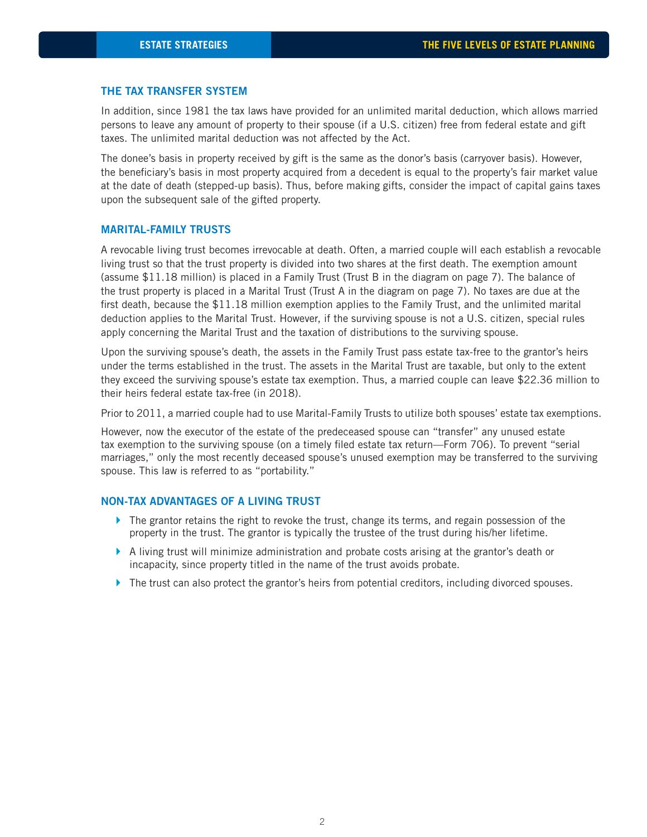#### **THE TAX TRANSFER SYSTEM**

In addition, since 1981 the tax laws have provided for an unlimited marital deduction, which allows married persons to leave any amount of property to their spouse (if a U.S. citizen) free from federal estate and gift taxes. The unlimited marital deduction was not affected by the Act.

The donee's basis in property received by gift is the same as the donor's basis (carryover basis). However, the beneficiary's basis in most property acquired from a decedent is equal to the property's fair market value at the date of death (stepped-up basis). Thus, before making gifts, consider the impact of capital gains taxes upon the subsequent sale of the gifted property.

#### **MARITAL-FAMILY TRUSTS**

A revocable living trust becomes irrevocable at death. Often, a married couple will each establish a revocable living trust so that the trust property is divided into two shares at the first death. The exemption amount (assume \$11.18 million) is placed in a Family Trust (Trust B in the diagram on page 7). The balance of the trust property is placed in a Marital Trust (Trust A in the diagram on page 7). No taxes are due at the first death, because the  $$11.18$  million exemption applies to the Family Trust, and the unlimited marital deduction applies to the Marital Trust. However, if the surviving spouse is not a U.S. citizen, special rules apply concerning the Marital Trust and the taxation of distributions to the surviving spouse.

Upon the surviving spouse's death, the assets in the Family Trust pass estate tax-free to the grantor's heirs under the terms established in the trust. The assets in the Marital Trust are taxable, but only to the extent they exceed the surviving spouse's estate tax exemption. Thus, a married couple can leave \$22.36 million to their heirs federal estate tax-free (in 2018).

Prior to 2011, a married couple had to use Marital-Family Trusts to utilize both spouses' estate tax exemptions.

However, now the executor of the estate of the predeceased spouse can "transfer" any unused estate tax exemption to the surviving spouse (on a timely filed estate tax return—Form 706). To prevent "serial marriages," only the most recently deceased spouse's unused exemption may be transferred to the surviving spouse. This law is referred to as "portability."

#### **NON-TAX ADVANTAGES OF A LIVING TRUST**

- $\blacktriangleright$  The grantor retains the right to revoke the trust, change its terms, and regain possession of the property in the trust. The grantor is typically the trustee of the trust during his/her lifetime.
- } A living trust will minimize administration and probate costs arising at the grantor's death or incapacity, since property titled in the name of the trust avoids probate.
- $\blacktriangleright$  The trust can also protect the grantor's heirs from potential creditors, including divorced spouses.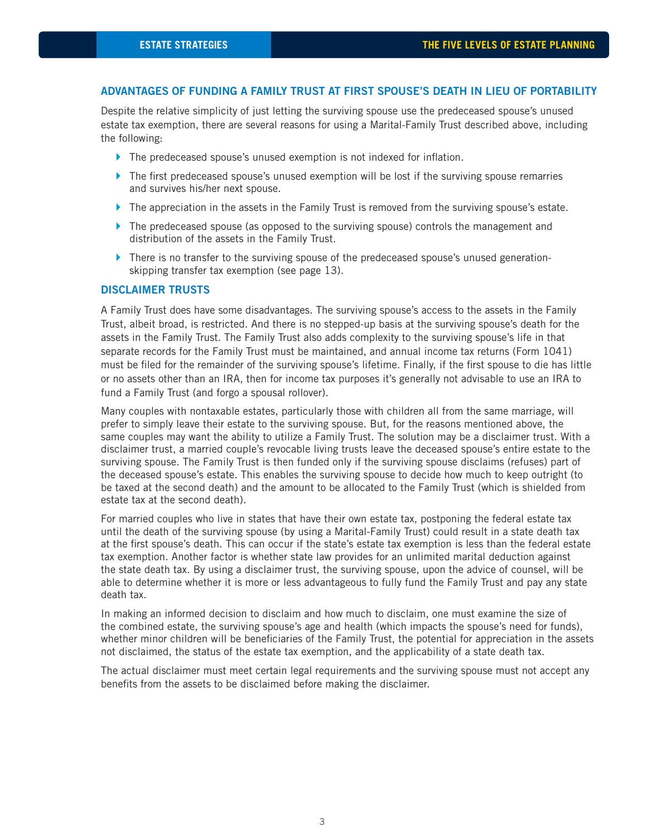#### **ADVANTAGES OF FUNDING A FAMILY TRUST AT FIRST SPOUSE'S DEATH IN LIEU OF PORTABILITY**

Despite the relative simplicity of just letting the surviving spouse use the predeceased spouse's unused estate tax exemption, there are several reasons for using a Marital-Family Trust described above, including the following:

- $\blacktriangleright$  The predeceased spouse's unused exemption is not indexed for inflation.
- $\blacktriangleright$  The first predeceased spouse's unused exemption will be lost if the surviving spouse remarries and survives his/her next spouse.
- ▶ The appreciation in the assets in the Family Trust is removed from the surviving spouse's estate.
- $\blacktriangleright$  The predeceased spouse (as opposed to the surviving spouse) controls the management and distribution of the assets in the Family Trust.
- $\blacktriangleright$  There is no transfer to the surviving spouse of the predeceased spouse's unused generationskipping transfer tax exemption (see page 13).

#### **DISCLAIMER TRUSTS**

A Family Trust does have some disadvantages. The surviving spouse's access to the assets in the Family Trust, albeit broad, is restricted. And there is no stepped-up basis at the surviving spouse's death for the assets in the Family Trust. The Family Trust also adds complexity to the surviving spouse's life in that separate records for the Family Trust must be maintained, and annual income tax returns (Form 1041) must be filed for the remainder of the surviving spouse's lifetime. Finally, if the first spouse to die has little or no assets other than an IRA, then for income tax purposes it's generally not advisable to use an IRA to fund a Family Trust (and forgo a spousal rollover).

Many couples with nontaxable estates, particularly those with children all from the same marriage, will prefer to simply leave their estate to the surviving spouse. But, for the reasons mentioned above, the same couples may want the ability to utilize a Family Trust. The solution may be a disclaimer trust. With a disclaimer trust, a married couple's revocable living trusts leave the deceased spouse's entire estate to the surviving spouse. The Family Trust is then funded only if the surviving spouse disclaims (refuses) part of the deceased spouse's estate. This enables the surviving spouse to decide how much to keep outright (to be taxed at the second death) and the amount to be allocated to the Family Trust (which is shielded from estate tax at the second death).

For married couples who live in states that have their own estate tax, postponing the federal estate tax until the death of the surviving spouse (by using a Marital-Family Trust) could result in a state death tax at the first spouse's death. This can occur if the state's estate tax exemption is less than the federal estate tax exemption. Another factor is whether state law provides for an unlimited marital deduction against the state death tax. By using a disclaimer trust, the surviving spouse, upon the advice of counsel, will be able to determine whether it is more or less advantageous to fully fund the Family Trust and pay any state death tax.

In making an informed decision to disclaim and how much to disclaim, one must examine the size of the combined estate, the surviving spouse's age and health (which impacts the spouse's need for funds), whether minor children will be beneficiaries of the Family Trust, the potential for appreciation in the assets not disclaimed, the status of the estate tax exemption, and the applicability of a state death tax.

The actual disclaimer must meet certain legal requirements and the surviving spouse must not accept any benefits from the assets to be disclaimed before making the disclaimer.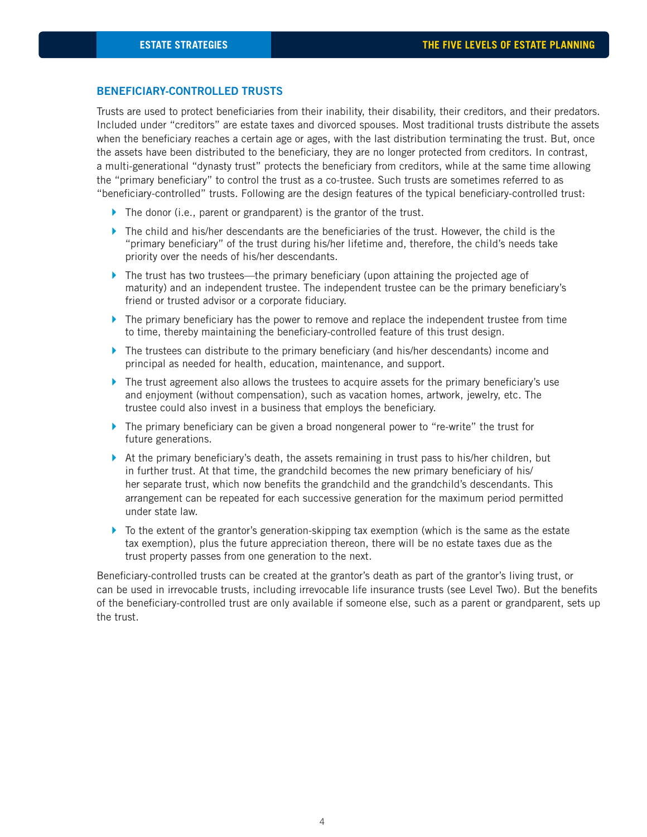#### **BENEFICIARY-CONTROLLED TRUSTS**

Trusts are used to protect beneficiaries from their inability, their disability, their creditors, and their predators. Included under "creditors" are estate taxes and divorced spouses. Most traditional trusts distribute the assets when the beneficiary reaches a certain age or ages, with the last distribution terminating the trust. But, once the assets have been distributed to the beneficiary, they are no longer protected from creditors. In contrast, a multi-generational "dynasty trust" protects the beneficiary from creditors, while at the same time allowing the "primary beneficiary" to control the trust as a co-trustee. Such trusts are sometimes referred to as "beneficiary-controlled" trusts. Following are the design features of the typical beneficiary-controlled trust:

- $\blacktriangleright$  The donor (i.e., parent or grandparent) is the grantor of the trust.
- $\blacktriangleright$  The child and his/her descendants are the beneficiaries of the trust. However, the child is the "primary beneficiary" of the trust during his/her lifetime and, therefore, the child's needs take priority over the needs of his/her descendants.
- $\blacktriangleright$  The trust has two trustees—the primary beneficiary (upon attaining the projected age of maturity) and an independent trustee. The independent trustee can be the primary beneficiary's friend or trusted advisor or a corporate fiduciary.
- $\blacktriangleright$  The primary beneficiary has the power to remove and replace the independent trustee from time to time, thereby maintaining the beneficiary-controlled feature of this trust design.
- $\blacktriangleright$  The trustees can distribute to the primary beneficiary (and his/her descendants) income and principal as needed for health, education, maintenance, and support.
- $\blacktriangleright$  The trust agreement also allows the trustees to acquire assets for the primary beneficiary's use and enjoyment (without compensation), such as vacation homes, artwork, jewelry, etc. The trustee could also invest in a business that employs the beneficiary.
- $\blacktriangleright$  The primary beneficiary can be given a broad nongeneral power to "re-write" the trust for future generations.
- $\blacktriangleright$  At the primary beneficiary's death, the assets remaining in trust pass to his/her children, but in further trust. At that time, the grandchild becomes the new primary beneficiary of his/ her separate trust, which now benefits the grandchild and the grandchild's descendants. This arrangement can be repeated for each successive generation for the maximum period permitted under state law.
- $\blacktriangleright$  To the extent of the grantor's generation-skipping tax exemption (which is the same as the estate tax exemption), plus the future appreciation thereon, there will be no estate taxes due as the trust property passes from one generation to the next.

Beneficiary-controlled trusts can be created at the grantor's death as part of the grantor's living trust, or can be used in irrevocable trusts, including irrevocable life insurance trusts (see Level Two). But the benefits of the beneficiary-controlled trust are only available if someone else, such as a parent or grandparent, sets up the trust.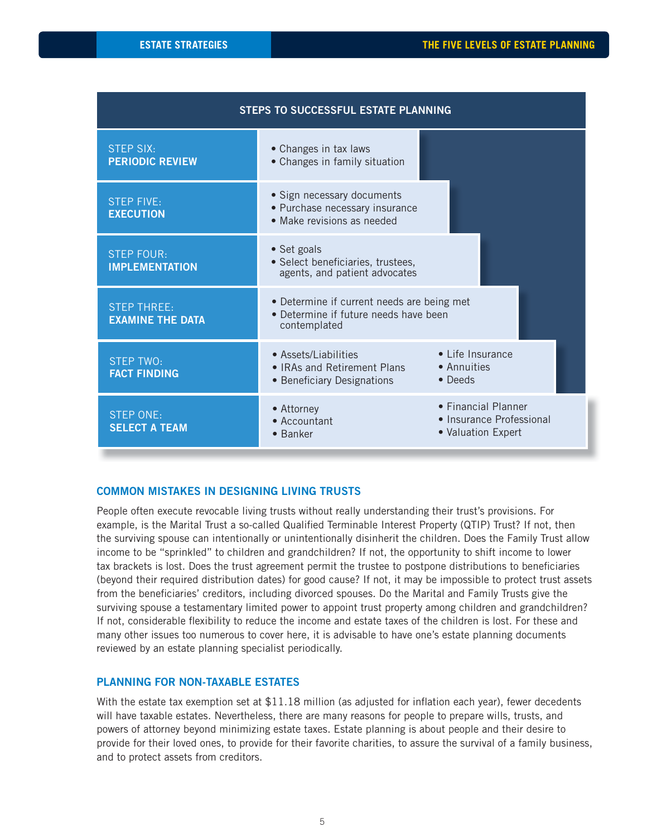| STEPS TO SUCCESSFUL ESTATE PLANNING           |                                                                                                     |                                                                       |  |  |  |  |
|-----------------------------------------------|-----------------------------------------------------------------------------------------------------|-----------------------------------------------------------------------|--|--|--|--|
| <b>STEP SIX:</b><br><b>PERIODIC REVIEW</b>    | • Changes in tax laws<br>• Changes in family situation                                              |                                                                       |  |  |  |  |
| <b>STEP FIVE:</b><br><b>EXECUTION</b>         | • Sign necessary documents<br>· Purchase necessary insurance<br>• Make revisions as needed          |                                                                       |  |  |  |  |
| <b>STEP FOUR:</b><br><b>IMPLEMENTATION</b>    | • Set goals<br>· Select beneficiaries, trustees,<br>agents, and patient advocates                   |                                                                       |  |  |  |  |
| <b>STEP THREE:</b><br><b>EXAMINE THE DATA</b> | • Determine if current needs are being met<br>• Determine if future needs have been<br>contemplated |                                                                       |  |  |  |  |
| <b>STEP TWO:</b><br><b>FACT FINDING</b>       | • Assets/Liabilities<br>• IRAs and Retirement Plans<br>• Beneficiary Designations                   | • Life Insurance<br>• Annuities<br>• Deeds                            |  |  |  |  |
| <b>STEP ONE:</b><br><b>SELECT A TEAM</b>      | • Attorney<br>• Accountant<br>• Banker                                                              | • Financial Planner<br>• Insurance Professional<br>• Valuation Expert |  |  |  |  |

#### **COMMON MISTAKES IN DESIGNING LIVING TRUSTS**

People often execute revocable living trusts without really understanding their trust's provisions. For example, is the Marital Trust a so-called Qualified Terminable Interest Property (QTIP) Trust? If not, then the surviving spouse can intentionally or unintentionally disinherit the children. Does the Family Trust allow income to be "sprinkled" to children and grandchildren? If not, the opportunity to shift income to lower tax brackets is lost. Does the trust agreement permit the trustee to postpone distributions to beneficiaries (beyond their required distribution dates) for good cause? If not, it may be impossible to protect trust assets from the beneficiaries' creditors, including divorced spouses. Do the Marital and Family Trusts give the surviving spouse a testamentary limited power to appoint trust property among children and grandchildren? If not, considerable flexibility to reduce the income and estate taxes of the children is lost. For these and many other issues too numerous to cover here, it is advisable to have one's estate planning documents reviewed by an estate planning specialist periodically.

#### **PLANNING FOR NON-TAXABLE ESTATES**

With the estate tax exemption set at \$11.18 million (as adjusted for inflation each year), fewer decedents will have taxable estates. Nevertheless, there are many reasons for people to prepare wills, trusts, and powers of attorney beyond minimizing estate taxes. Estate planning is about people and their desire to provide for their loved ones, to provide for their favorite charities, to assure the survival of a family business, and to protect assets from creditors.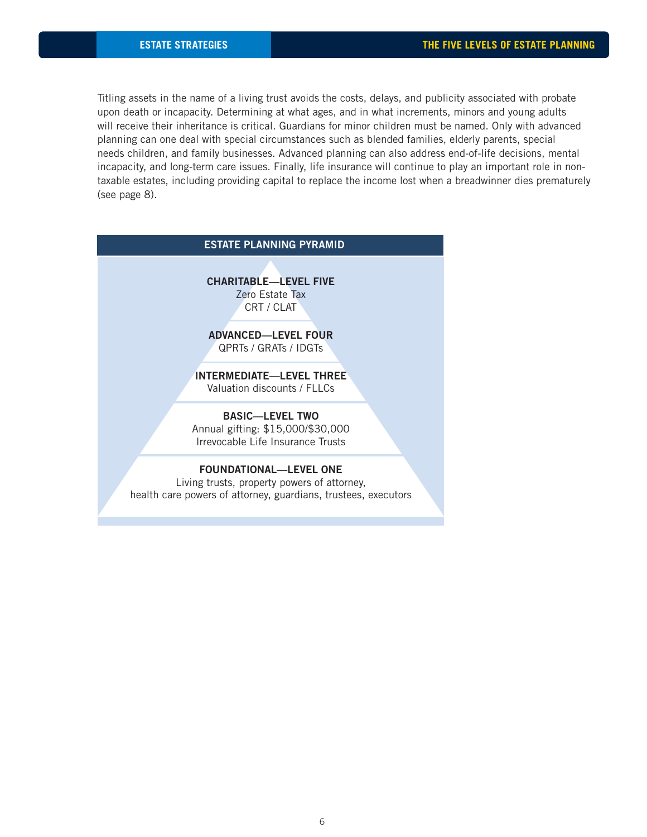Titling assets in the name of a living trust avoids the costs, delays, and publicity associated with probate upon death or incapacity. Determining at what ages, and in what increments, minors and young adults will receive their inheritance is critical. Guardians for minor children must be named. Only with advanced planning can one deal with special circumstances such as blended families, elderly parents, special needs children, and family businesses. Advanced planning can also address end-of-life decisions, mental incapacity, and long-term care issues. Finally, life insurance will continue to play an important role in nontaxable estates, including providing capital to replace the income lost when a breadwinner dies prematurely (see page 8).

# **CHARITABLE—LEVEL FIVE**  Zero Estate Tax CRT / CLAT **ADVANCED—LEVEL FOUR** QPRTs / GRATs / IDGTs **INTERMEDIATE—LEVEL THREE** Valuation discounts / FLLCs **BASIC—LEVEL TWO** Annual gifting: \$15,000/\$30,000 Irrevocable Life Insurance Trusts **FOUNDATIONAL—LEVEL ONE** Living trusts, property powers of attorney, health care powers of attorney, guardians, trustees, executors **ESTATE PLANNING PYRAMID**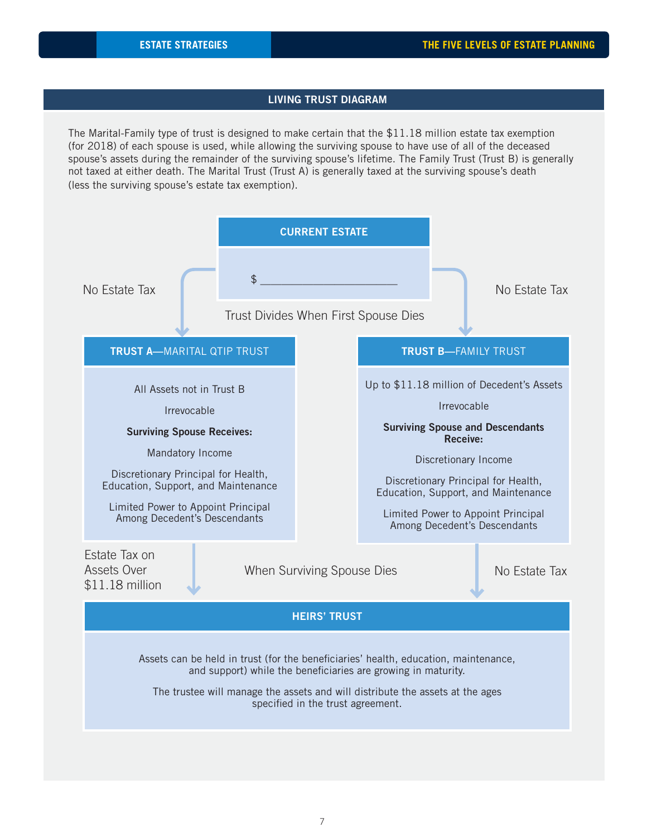### **LIVING TRUST DIAGRAM**

The Marital-Family type of trust is designed to make certain that the \$11.18 million estate tax exemption (for 2018) of each spouse is used, while allowing the surviving spouse to have use of all of the deceased spouse's assets during the remainder of the surviving spouse's lifetime. The Family Trust (Trust B) is generally not taxed at either death. The Marital Trust (Trust A) is generally taxed at the surviving spouse's death (less the surviving spouse's estate tax exemption).

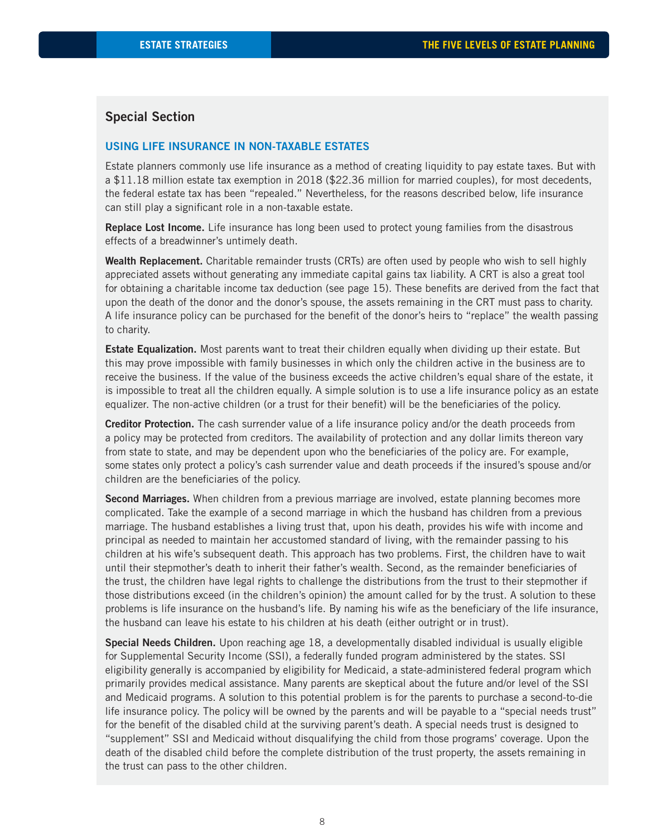### **Special Section**

#### **USING LIFE INSURANCE IN NON-TAXABLE ESTATES**

Estate planners commonly use life insurance as a method of creating liquidity to pay estate taxes. But with a \$11.18 million estate tax exemption in 2018 (\$22.36 million for married couples), for most decedents, the federal estate tax has been "repealed." Nevertheless, for the reasons described below, life insurance can still play a significant role in a non-taxable estate.

**Replace Lost Income.** Life insurance has long been used to protect young families from the disastrous effects of a breadwinner's untimely death.

**Wealth Replacement.** Charitable remainder trusts (CRTs) are often used by people who wish to sell highly appreciated assets without generating any immediate capital gains tax liability. A CRT is also a great tool for obtaining a charitable income tax deduction (see page 15). These benefits are derived from the fact that upon the death of the donor and the donor's spouse, the assets remaining in the CRT must pass to charity. A life insurance policy can be purchased for the benefit of the donor's heirs to "replace" the wealth passing to charity.

**Estate Equalization.** Most parents want to treat their children equally when dividing up their estate. But this may prove impossible with family businesses in which only the children active in the business are to receive the business. If the value of the business exceeds the active children's equal share of the estate, it is impossible to treat all the children equally. A simple solution is to use a life insurance policy as an estate equalizer. The non-active children (or a trust for their benefit) will be the beneficiaries of the policy.

**Creditor Protection.** The cash surrender value of a life insurance policy and/or the death proceeds from a policy may be protected from creditors. The availability of protection and any dollar limits thereon vary from state to state, and may be dependent upon who the beneficiaries of the policy are. For example, some states only protect a policy's cash surrender value and death proceeds if the insured's spouse and/or children are the beneficiaries of the policy.

**Second Marriages.** When children from a previous marriage are involved, estate planning becomes more complicated. Take the example of a second marriage in which the husband has children from a previous marriage. The husband establishes a living trust that, upon his death, provides his wife with income and principal as needed to maintain her accustomed standard of living, with the remainder passing to his children at his wife's subsequent death. This approach has two problems. First, the children have to wait until their stepmother's death to inherit their father's wealth. Second, as the remainder beneficiaries of the trust, the children have legal rights to challenge the distributions from the trust to their stepmother if those distributions exceed (in the children's opinion) the amount called for by the trust. A solution to these problems is life insurance on the husband's life. By naming his wife as the beneficiary of the life insurance, the husband can leave his estate to his children at his death (either outright or in trust).

**Special Needs Children.** Upon reaching age 18, a developmentally disabled individual is usually eligible for Supplemental Security Income (SSI), a federally funded program administered by the states. SSI eligibility generally is accompanied by eligibility for Medicaid, a state-administered federal program which primarily provides medical assistance. Many parents are skeptical about the future and/or level of the SSI and Medicaid programs. A solution to this potential problem is for the parents to purchase a second-to-die life insurance policy. The policy will be owned by the parents and will be payable to a "special needs trust" for the benefit of the disabled child at the surviving parent's death. A special needs trust is designed to "supplement" SSI and Medicaid without disqualifying the child from those programs' coverage. Upon the death of the disabled child before the complete distribution of the trust property, the assets remaining in the trust can pass to the other children.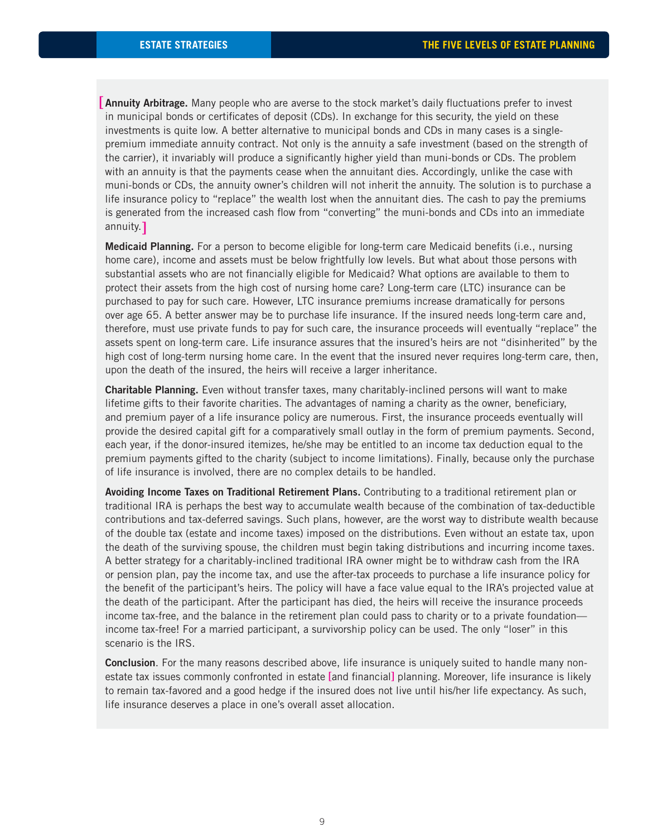[Annuity Arbitrage. Many people who are averse to the stock market's daily fluctuations prefer to invest in municipal bonds or certificates of deposit (CDs). In exchange for this security, the yield on these investments is quite low. A better alternative to municipal bonds and CDs in many cases is a singlepremium immediate annuity contract. Not only is the annuity a safe investment (based on the strength of the carrier), it invariably will produce a significantly higher yield than muni-bonds or CDs. The problem with an annuity is that the payments cease when the annuitant dies. Accordingly, unlike the case with muni-bonds or CDs, the annuity owner's children will not inherit the annuity. The solution is to purchase a life insurance policy to "replace" the wealth lost when the annuitant dies. The cash to pay the premiums is generated from the increased cash flow from "converting" the muni-bonds and CDs into an immediate annuity. [

**Medicaid Planning.** For a person to become eligible for long-term care Medicaid benefits (i.e., nursing home care), income and assets must be below frightfully low levels. But what about those persons with substantial assets who are not financially eligible for Medicaid? What options are available to them to protect their assets from the high cost of nursing home care? Long-term care (LTC) insurance can be purchased to pay for such care. However, LTC insurance premiums increase dramatically for persons over age 65. A better answer may be to purchase life insurance. If the insured needs long-term care and, therefore, must use private funds to pay for such care, the insurance proceeds will eventually "replace" the assets spent on long-term care. Life insurance assures that the insured's heirs are not "disinherited" by the high cost of long-term nursing home care. In the event that the insured never requires long-term care, then, upon the death of the insured, the heirs will receive a larger inheritance.

**Charitable Planning.** Even without transfer taxes, many charitably-inclined persons will want to make lifetime gifts to their favorite charities. The advantages of naming a charity as the owner, beneficiary, and premium payer of a life insurance policy are numerous. First, the insurance proceeds eventually will provide the desired capital gift for a comparatively small outlay in the form of premium payments. Second, each year, if the donor-insured itemizes, he/she may be entitled to an income tax deduction equal to the premium payments gifted to the charity (subject to income limitations). Finally, because only the purchase of life insurance is involved, there are no complex details to be handled.

**Avoiding Income Taxes on Traditional Retirement Plans.** Contributing to a traditional retirement plan or traditional IRA is perhaps the best way to accumulate wealth because of the combination of tax-deductible contributions and tax-deferred savings. Such plans, however, are the worst way to distribute wealth because of the double tax (estate and income taxes) imposed on the distributions. Even without an estate tax, upon the death of the surviving spouse, the children must begin taking distributions and incurring income taxes. A better strategy for a charitably-inclined traditional IRA owner might be to withdraw cash from the IRA or pension plan, pay the income tax, and use the after-tax proceeds to purchase a life insurance policy for the benefit of the participant's heirs. The policy will have a face value equal to the IRA's projected value at the death of the participant. After the participant has died, the heirs will receive the insurance proceeds income tax-free, and the balance in the retirement plan could pass to charity or to a private foundation income tax-free! For a married participant, a survivorship policy can be used. The only "loser" in this scenario is the IRS.

**Conclusion**. For the many reasons described above, life insurance is uniquely suited to handle many nonestate tax issues commonly confronted in estate [and financial] planning. Moreover, life insurance is likely to remain tax-favored and a good hedge if the insured does not live until his/her life expectancy. As such, life insurance deserves a place in one's overall asset allocation.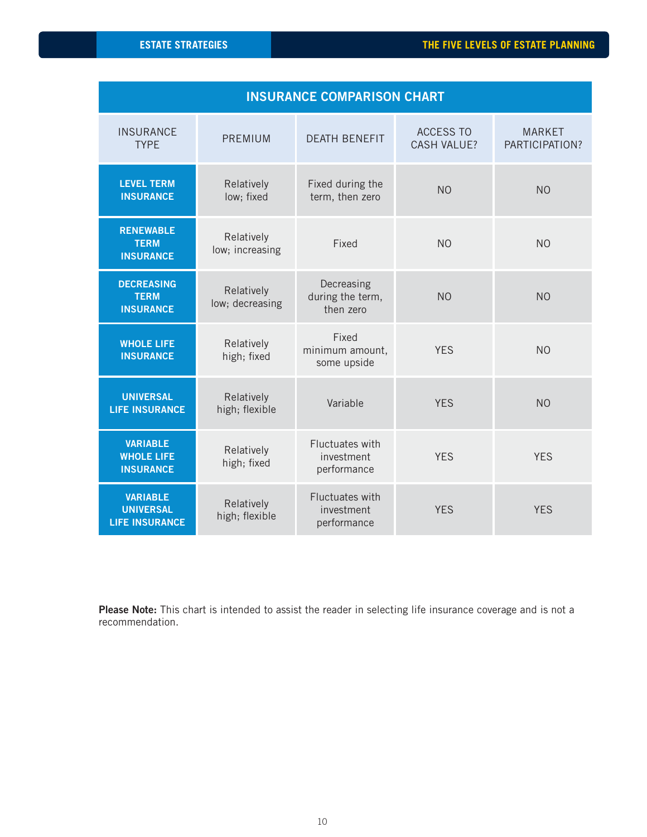| <b>INSURANCE COMPARISON CHART</b>                            |                               |                                              |                                        |                                 |  |
|--------------------------------------------------------------|-------------------------------|----------------------------------------------|----------------------------------------|---------------------------------|--|
| <b>INSURANCE</b><br><b>TYPE</b>                              | <b>PREMIUM</b>                | <b>DEATH BENEFIT</b>                         | <b>ACCESS TO</b><br><b>CASH VALUE?</b> | <b>MARKET</b><br>PARTICIPATION? |  |
| <b>LEVEL TERM</b><br><b>INSURANCE</b>                        | Relatively<br>low; fixed      | Fixed during the<br>term, then zero          | N <sub>O</sub>                         | N <sub>O</sub>                  |  |
| <b>RENEWABLE</b><br><b>TERM</b><br><b>INSURANCE</b>          | Relatively<br>low; increasing | Fixed                                        | N <sub>O</sub>                         | N <sub>O</sub>                  |  |
| <b>DECREASING</b><br><b>TERM</b><br><b>INSURANCE</b>         | Relatively<br>low; decreasing | Decreasing<br>during the term,<br>then zero  | N <sub>O</sub>                         | N <sub>O</sub>                  |  |
| <b>WHOLE LIFE</b><br><b>INSURANCE</b>                        | Relatively<br>high; fixed     | Fixed<br>minimum amount,<br>some upside      | <b>YES</b>                             | N <sub>O</sub>                  |  |
| <b>UNIVERSAL</b><br><b>LIFE INSURANCE</b>                    | Relatively<br>high; flexible  | Variable                                     | <b>YES</b>                             | N <sub>O</sub>                  |  |
| <b>VARIABLE</b><br><b>WHOLE LIFE</b><br><b>INSURANCE</b>     | Relatively<br>high; fixed     | Fluctuates with<br>investment<br>performance | <b>YES</b>                             | <b>YES</b>                      |  |
| <b>VARIABLE</b><br><b>UNIVERSAL</b><br><b>LIFE INSURANCE</b> | Relatively<br>high; flexible  | Fluctuates with<br>investment<br>performance | <b>YES</b>                             | <b>YES</b>                      |  |

Please Note: This chart is intended to assist the reader in selecting life insurance coverage and is not a recommendation.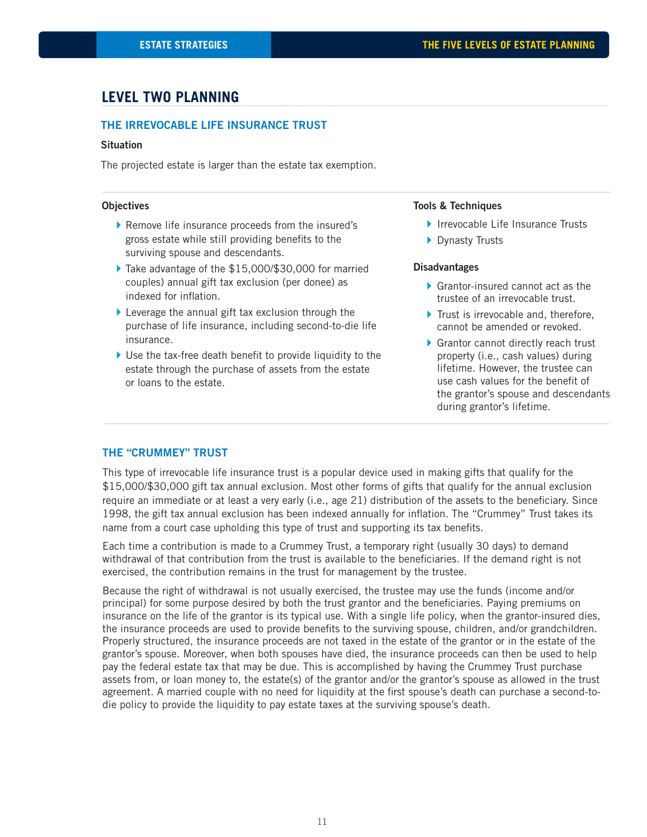# **LEVEL TWO PLANNING**

#### **THE IRREVOCABLE LIFE INSURANCE TRUST**

#### **Situation**

The projected estate is larger than the estate tax exemption.

#### **Objectives**

- } Remove life insurance proceeds from the insured's gross estate while still providing benefits to the surviving spouse and descendants.
- ▶ Take advantage of the \$15,000/\$30,000 for married couples) annual gift tax exclusion (per donee) as indexed for inflation.
- $\blacktriangleright$  Leverage the annual gift tax exclusion through the purchase of life insurance, including second-to-die life insurance.
- $\blacktriangleright$  Use the tax-free death benefit to provide liquidity to the estate through the purchase of assets from the estate or loans to the estate.

#### **Tools & Techniques**

- ▶ Irrevocable Life Insurance Trusts
- ▶ Dynasty Trusts

#### **Disadvantages**

- ▶ Grantor-insured cannot act as the trustee of an irrevocable trust.
- $\blacktriangleright$  Trust is irrevocable and, therefore, cannot be amended or revoked.
- ▶ Grantor cannot directly reach trust property (i.e., cash values) during lifetime. However, the trustee can use cash values for the benefit of the grantor's spouse and descendants during grantor's lifetime.

#### **THE "CRUMMEY" TRUST**

This type of irrevocable life insurance trust is a popular device used in making gifts that qualify for the \$15,000/\$30,000 gift tax annual exclusion. Most other forms of gifts that qualify for the annual exclusion require an immediate or at least a very early (i.e., age 21) distribution of the assets to the beneficiary. Since 1998, the gift tax annual exclusion has been indexed annually for inflation. The "Crummey" Trust takes its name from a court case upholding this type of trust and supporting its tax benefits.

Each time a contribution is made to a Crummey Trust, a temporary right (usually 30 days) to demand withdrawal of that contribution from the trust is available to the beneficiaries. If the demand right is not exercised, the contribution remains in the trust for management by the trustee.

Because the right of withdrawal is not usually exercised, the trustee may use the funds (income and/or principal) for some purpose desired by both the trust grantor and the beneficiaries. Paying premiums on insurance on the life of the grantor is its typical use. With a single life policy, when the grantor-insured dies, the insurance proceeds are used to provide benefits to the surviving spouse, children, and/or grandchildren. Properly structured, the insurance proceeds are not taxed in the estate of the grantor or in the estate of the grantor's spouse. Moreover, when both spouses have died, the insurance proceeds can then be used to help pay the federal estate tax that may be due. This is accomplished by having the Crummey Trust purchase assets from, or loan money to, the estate(s) of the grantor and/or the grantor's spouse as allowed in the trust agreement. A married couple with no need for liquidity at the first spouse's death can purchase a second-todie policy to provide the liquidity to pay estate taxes at the surviving spouse's death.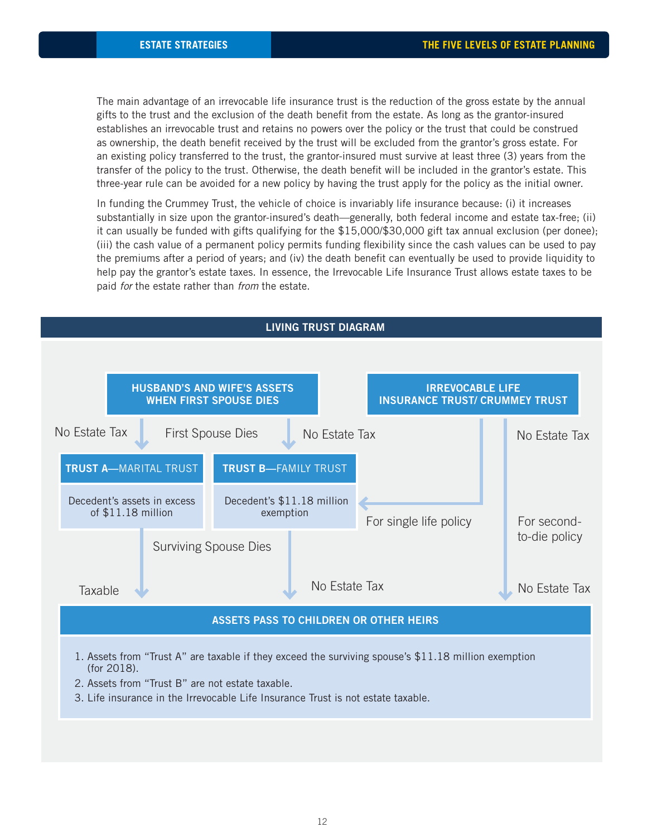The main advantage of an irrevocable life insurance trust is the reduction of the gross estate by the annual gifts to the trust and the exclusion of the death benefit from the estate. As long as the grantor-insured establishes an irrevocable trust and retains no powers over the policy or the trust that could be construed as ownership, the death benefit received by the trust will be excluded from the grantor's gross estate. For an existing policy transferred to the trust, the grantor-insured must survive at least three (3) years from the transfer of the policy to the trust. Otherwise, the death benefit will be included in the grantor's estate. This three-year rule can be avoided for a new policy by having the trust apply for the policy as the initial owner.

In funding the Crummey Trust, the vehicle of choice is invariably life insurance because: (i) it increases substantially in size upon the grantor-insured's death—generally, both federal income and estate tax-free; (ii) it can usually be funded with gifts qualifying for the \$15,000/\$30,000 gift tax annual exclusion (per donee); (iii) the cash value of a permanent policy permits funding flexibility since the cash values can be used to pay the premiums after a period of years; and (iv) the death benefit can eventually be used to provide liquidity to help pay the grantor's estate taxes. In essence, the Irrevocable Life Insurance Trust allows estate taxes to be paid for the estate rather than from the estate.

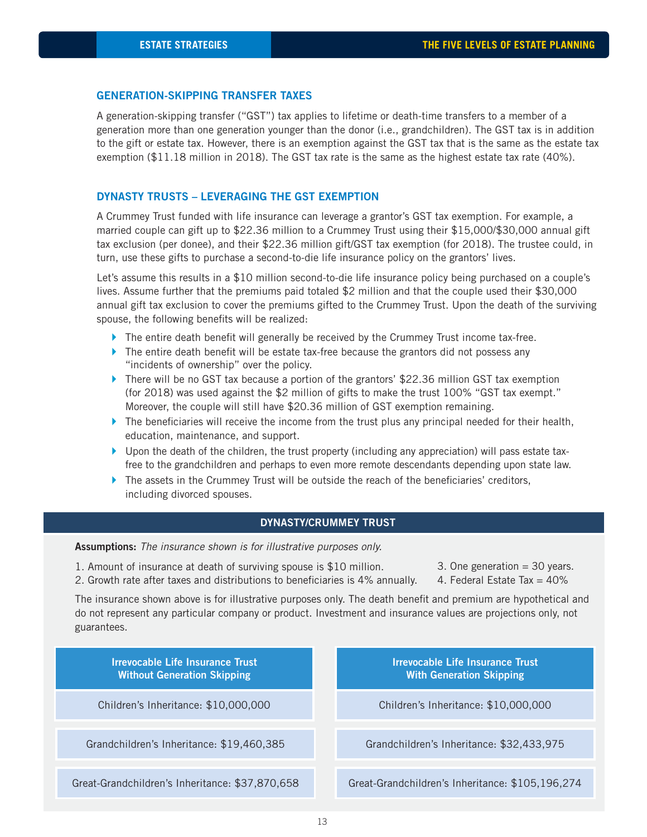#### **GENERATION-SKIPPING TRANSFER TAXES**

A generation-skipping transfer ("GST") tax applies to lifetime or death-time transfers to a member of a generation more than one generation younger than the donor (i.e., grandchildren). The GST tax is in addition to the gift or estate tax. However, there is an exemption against the GST tax that is the same as the estate tax exemption (\$11.18 million in 2018). The GST tax rate is the same as the highest estate tax rate (40%).

#### **DYNASTY TRUSTS – LEVERAGING THE GST EXEMPTION**

A Crummey Trust funded with life insurance can leverage a grantor's GST tax exemption. For example, a married couple can gift up to \$22.36 million to a Crummey Trust using their \$15,000/\$30,000 annual gift tax exclusion (per donee), and their \$22.36 million gift/GST tax exemption (for 2018). The trustee could, in turn, use these gifts to purchase a second-to-die life insurance policy on the grantors' lives.

Let's assume this results in a \$10 million second-to-die life insurance policy being purchased on a couple's lives. Assume further that the premiums paid totaled \$2 million and that the couple used their \$30,000 annual gift tax exclusion to cover the premiums gifted to the Crummey Trust. Upon the death of the surviving spouse, the following benefits will be realized:

- $\blacktriangleright$  The entire death benefit will generally be received by the Crummey Trust income tax-free.
- $\blacktriangleright$  The entire death benefit will be estate tax-free because the grantors did not possess any "incidents of ownership" over the policy.
- $\blacktriangleright$  There will be no GST tax because a portion of the grantors' \$22.36 million GST tax exemption (for 2018) was used against the \$2 million of gifts to make the trust 100% "GST tax exempt." Moreover, the couple will still have \$20.36 million of GST exemption remaining.
- $\blacktriangleright$  The beneficiaries will receive the income from the trust plus any principal needed for their health, education, maintenance, and support.
- $\blacktriangleright$  Upon the death of the children, the trust property (including any appreciation) will pass estate taxfree to the grandchildren and perhaps to even more remote descendants depending upon state law.
- $\blacktriangleright$  The assets in the Crummey Trust will be outside the reach of the beneficiaries' creditors, including divorced spouses.

### **DYNASTY/CRUMMEY TRUST**

**Assumptions:** The insurance shown is for illustrative purposes only.

- 1. Amount of insurance at death of surviving spouse is \$10 million.
- 2. Growth rate after taxes and distributions to beneficiaries is 4% annually.
- 3. One generation  $=$  30 years.
- 4. Federal Estate Tax  $= 40\%$

The insurance shown above is for illustrative purposes only. The death benefit and premium are hypothetical and do not represent any particular company or product. Investment and insurance values are projections only, not guarantees.

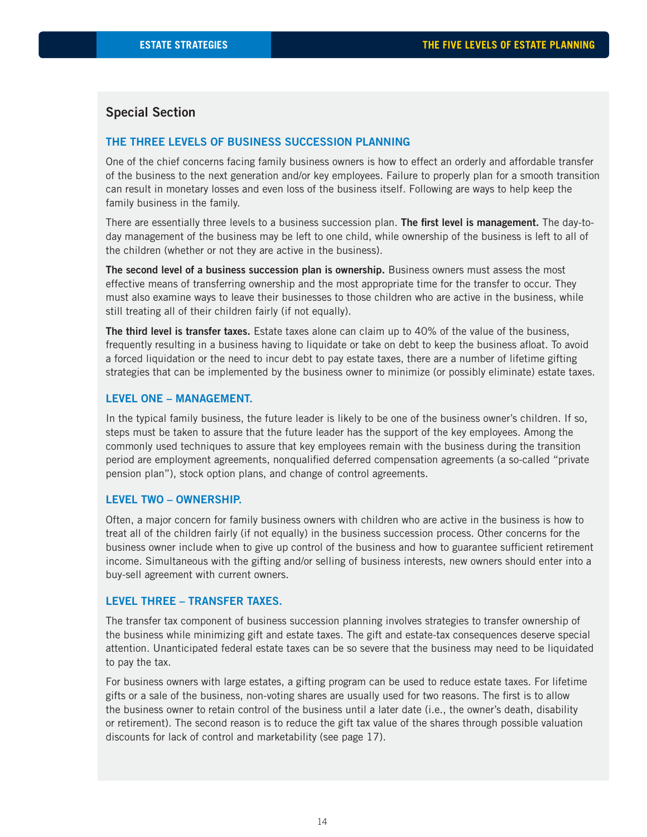### **Special Section**

#### **THE THREE LEVELS OF BUSINESS SUCCESSION PLANNING**

One of the chief concerns facing family business owners is how to effect an orderly and affordable transfer of the business to the next generation and/or key employees. Failure to properly plan for a smooth transition can result in monetary losses and even loss of the business itself. Following are ways to help keep the family business in the family.

There are essentially three levels to a business succession plan. **The first level is management.** The day-today management of the business may be left to one child, while ownership of the business is left to all of the children (whether or not they are active in the business).

**The second level of a business succession plan is ownership.** Business owners must assess the most effective means of transferring ownership and the most appropriate time for the transfer to occur. They must also examine ways to leave their businesses to those children who are active in the business, while still treating all of their children fairly (if not equally).

**The third level is transfer taxes.** Estate taxes alone can claim up to 40% of the value of the business, frequently resulting in a business having to liquidate or take on debt to keep the business afloat. To avoid a forced liquidation or the need to incur debt to pay estate taxes, there are a number of lifetime gifting strategies that can be implemented by the business owner to minimize (or possibly eliminate) estate taxes.

#### **LEVEL ONE – MANAGEMENT.**

In the typical family business, the future leader is likely to be one of the business owner's children. If so, steps must be taken to assure that the future leader has the support of the key employees. Among the commonly used techniques to assure that key employees remain with the business during the transition period are employment agreements, nonqualified deferred compensation agreements (a so-called "private" pension plan"), stock option plans, and change of control agreements.

#### **LEVEL TWO – OWNERSHIP.**

Often, a major concern for family business owners with children who are active in the business is how to treat all of the children fairly (if not equally) in the business succession process. Other concerns for the business owner include when to give up control of the business and how to guarantee sufficient retirement income. Simultaneous with the gifting and/or selling of business interests, new owners should enter into a buy-sell agreement with current owners.

#### **LEVEL THREE – TRANSFER TAXES.**

The transfer tax component of business succession planning involves strategies to transfer ownership of the business while minimizing gift and estate taxes. The gift and estate-tax consequences deserve special attention. Unanticipated federal estate taxes can be so severe that the business may need to be liquidated to pay the tax.

For business owners with large estates, a gifting program can be used to reduce estate taxes. For lifetime gifts or a sale of the business, non-voting shares are usually used for two reasons. The first is to allow the business owner to retain control of the business until a later date (i.e., the owner's death, disability or retirement). The second reason is to reduce the gift tax value of the shares through possible valuation discounts for lack of control and marketability (see page 17).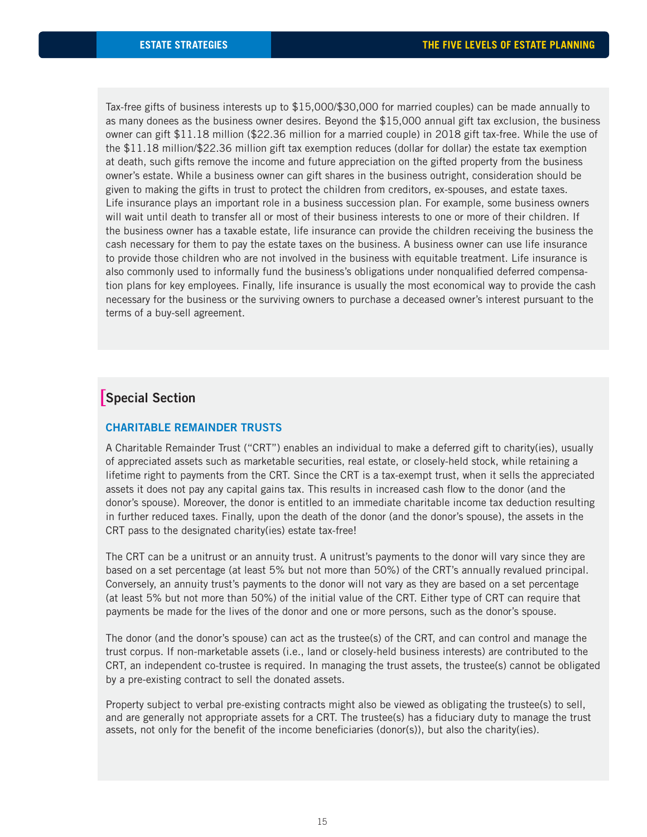Tax-free gifts of business interests up to \$15,000/\$30,000 for married couples) can be made annually to as many donees as the business owner desires. Beyond the \$15,000 annual gift tax exclusion, the business owner can gift \$11.18 million (\$22.36 million for a married couple) in 2018 gift tax-free. While the use of the \$11.18 million/\$22.36 million gift tax exemption reduces (dollar for dollar) the estate tax exemption at death, such gifts remove the income and future appreciation on the gifted property from the business owner's estate. While a business owner can gift shares in the business outright, consideration should be given to making the gifts in trust to protect the children from creditors, ex-spouses, and estate taxes. Life insurance plays an important role in a business succession plan. For example, some business owners will wait until death to transfer all or most of their business interests to one or more of their children. If the business owner has a taxable estate, life insurance can provide the children receiving the business the cash necessary for them to pay the estate taxes on the business. A business owner can use life insurance to provide those children who are not involved in the business with equitable treatment. Life insurance is also commonly used to informally fund the business's obligations under nonqualified deferred compensation plans for key employees. Finally, life insurance is usually the most economical way to provide the cash necessary for the business or the surviving owners to purchase a deceased owner's interest pursuant to the terms of a buy-sell agreement.

# **Special Section** [

#### **CHARITABLE REMAINDER TRUSTS**

A Charitable Remainder Trust ("CRT") enables an individual to make a deferred gift to charity(ies), usually of appreciated assets such as marketable securities, real estate, or closely-held stock, while retaining a lifetime right to payments from the CRT. Since the CRT is a tax-exempt trust, when it sells the appreciated assets it does not pay any capital gains tax. This results in increased cash flow to the donor (and the donor's spouse). Moreover, the donor is entitled to an immediate charitable income tax deduction resulting in further reduced taxes. Finally, upon the death of the donor (and the donor's spouse), the assets in the CRT pass to the designated charity(ies) estate tax-free!

The CRT can be a unitrust or an annuity trust. A unitrust's payments to the donor will vary since they are based on a set percentage (at least 5% but not more than 50%) of the CRT's annually revalued principal. Conversely, an annuity trust's payments to the donor will not vary as they are based on a set percentage (at least 5% but not more than 50%) of the initial value of the CRT. Either type of CRT can require that payments be made for the lives of the donor and one or more persons, such as the donor's spouse.

The donor (and the donor's spouse) can act as the trustee(s) of the CRT, and can control and manage the trust corpus. If non-marketable assets (i.e., land or closely-held business interests) are contributed to the CRT, an independent co-trustee is required. In managing the trust assets, the trustee(s) cannot be obligated by a pre-existing contract to sell the donated assets.

Property subject to verbal pre-existing contracts might also be viewed as obligating the trustee(s) to sell, and are generally not appropriate assets for a CRT. The trustee(s) has a fiduciary duty to manage the trust assets, not only for the benefit of the income beneficiaries (donor(s)), but also the charity(ies).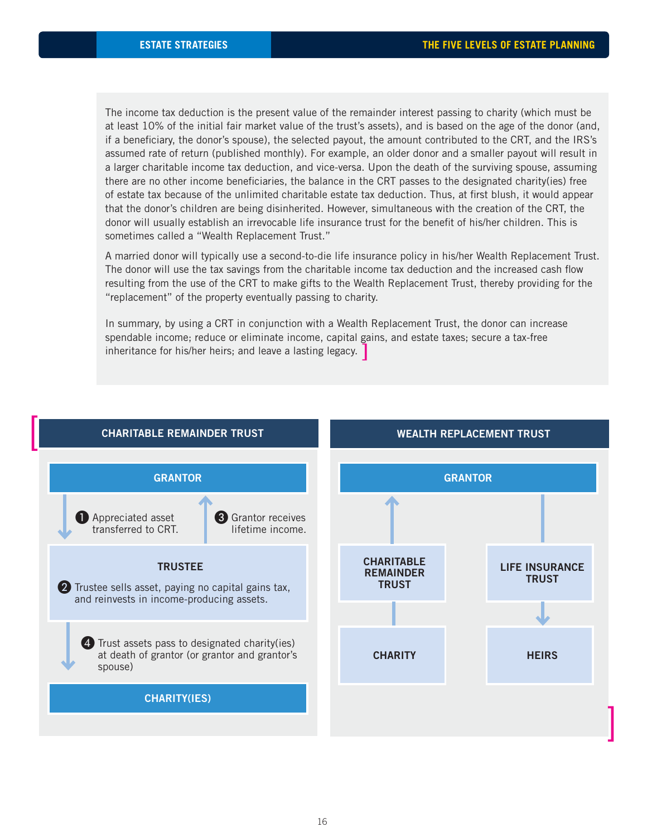The income tax deduction is the present value of the remainder interest passing to charity (which must be at least 10% of the initial fair market value of the trust's assets), and is based on the age of the donor (and, if a beneficiary, the donor's spouse), the selected payout, the amount contributed to the CRT, and the IRS's assumed rate of return (published monthly). For example, an older donor and a smaller payout will result in a larger charitable income tax deduction, and vice-versa. Upon the death of the surviving spouse, assuming there are no other income beneficiaries, the balance in the CRT passes to the designated charity(ies) free of estate tax because of the unlimited charitable estate tax deduction. Thus, at first blush, it would appear that the donor's children are being disinherited. However, simultaneous with the creation of the CRT, the donor will usually establish an irrevocable life insurance trust for the benefit of his/her children. This is sometimes called a "Wealth Replacement Trust."

A married donor will typically use a second-to-die life insurance policy in his/her Wealth Replacement Trust. The donor will use the tax savings from the charitable income tax deduction and the increased cash flow resulting from the use of the CRT to make gifts to the Wealth Replacement Trust, thereby providing for the "replacement" of the property eventually passing to charity.

In summary, by using a CRT in conjunction with a Wealth Replacement Trust, the donor can increase spendable income; reduce or eliminate income, capital gains, and estate taxes; secure a tax-free inheritance for his/her heirs; and leave a lasting legacy.  $\boxed{\phantom{a}}$ 

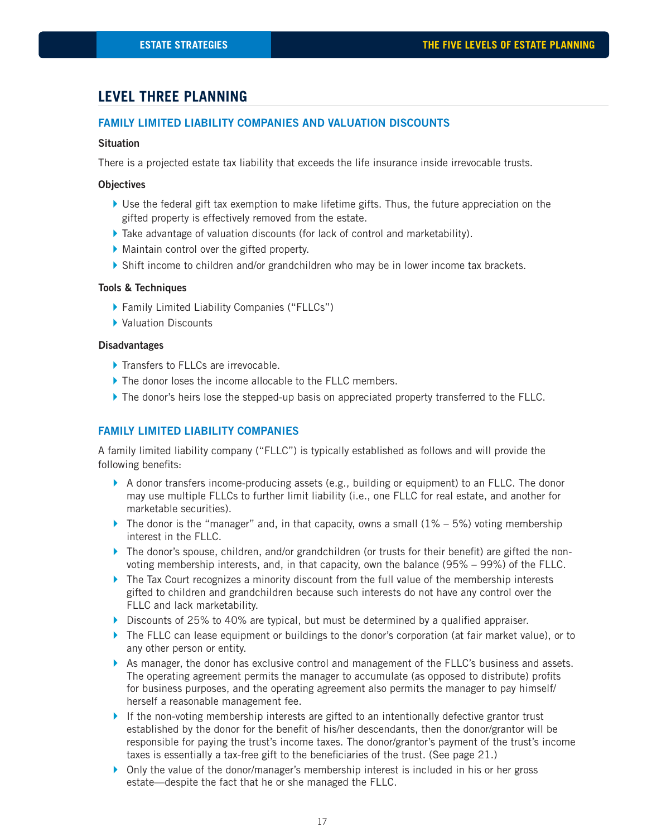# **LEVEL THREE PLANNING**

### **FAMILY LIMITED LIABILITY COMPANIES AND VALUATION DISCOUNTS**

#### **Situation**

There is a projected estate tax liability that exceeds the life insurance inside irrevocable trusts.

#### **Objectives**

- $\blacktriangleright$  Use the federal gift tax exemption to make lifetime gifts. Thus, the future appreciation on the gifted property is effectively removed from the estate.
- } Take advantage of valuation discounts (for lack of control and marketability).
- } Maintain control over the gifted property.
- } Shift income to children and/or grandchildren who may be in lower income tax brackets.

#### **Tools & Techniques**

- } Family Limited Liability Companies ("FLLCs")
- ▶ Valuation Discounts

#### **Disadvantages**

- ▶ Transfers to FLLCs are irrevocable.
- If The donor loses the income allocable to the FLLC members.
- If The donor's heirs lose the stepped-up basis on appreciated property transferred to the FLLC.

#### **FAMILY LIMITED LIABILITY COMPANIES**

A family limited liability company ("FLLC") is typically established as follows and will provide the following benefits:

- $\blacktriangleright$  A donor transfers income-producing assets (e.g., building or equipment) to an FLLC. The donor may use multiple FLLCs to further limit liability (i.e., one FLLC for real estate, and another for marketable securities).
- $\blacktriangleright$  The donor is the "manager" and, in that capacity, owns a small (1% 5%) voting membership interest in the FLLC.
- $\blacktriangleright$  The donor's spouse, children, and/or grandchildren (or trusts for their benefit) are gifted the nonvoting membership interests, and, in that capacity, own the balance (95% – 99%) of the FLLC.
- $\blacktriangleright$  The Tax Court recognizes a minority discount from the full value of the membership interests gifted to children and grandchildren because such interests do not have any control over the FLLC and lack marketability.
- $\blacktriangleright$  Discounts of 25% to 40% are typical, but must be determined by a qualified appraiser.
- ▶ The FLLC can lease equipment or buildings to the donor's corporation (at fair market value), or to any other person or entity.
- ▶ As manager, the donor has exclusive control and management of the FLLC's business and assets. The operating agreement permits the manager to accumulate (as opposed to distribute) profits for business purposes, and the operating agreement also permits the manager to pay himself/ herself a reasonable management fee.
- $\blacktriangleright$  If the non-voting membership interests are gifted to an intentionally defective grantor trust established by the donor for the benefit of his/her descendants, then the donor/grantor will be responsible for paying the trust's income taxes. The donor/grantor's payment of the trust's income taxes is essentially a tax-free gift to the beneficiaries of the trust. (See page 21.)
- } Only the value of the donor/manager's membership interest is included in his or her gross estate—despite the fact that he or she managed the FLLC.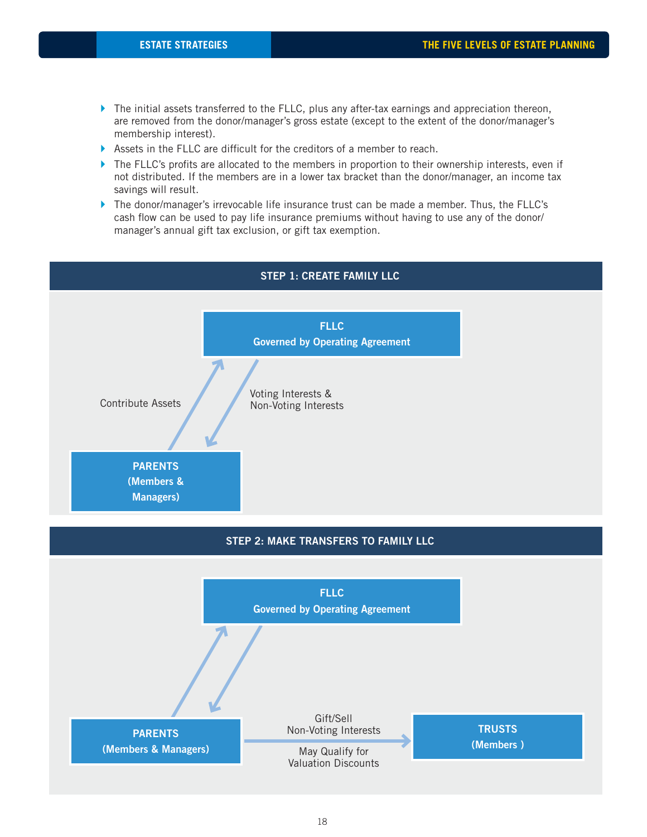- $\blacktriangleright$  The initial assets transferred to the FLLC, plus any after-tax earnings and appreciation thereon, are removed from the donor/manager's gross estate (except to the extent of the donor/manager's membership interest).
- $\blacktriangleright$  Assets in the FLLC are difficult for the creditors of a member to reach.
- $\blacktriangleright$  The FLLC's profits are allocated to the members in proportion to their ownership interests, even if not distributed. If the members are in a lower tax bracket than the donor/manager, an income tax savings will result.
- } The donor/manager's irrevocable life insurance trust can be made a member. Thus, the FLLC's cash flow can be used to pay life insurance premiums without having to use any of the donor/ manager's annual gift tax exclusion, or gift tax exemption.



## **STEP 1: CREATE FAMILY LLC**

### **STEP 2: MAKE TRANSFERS TO FAMILY LLC**

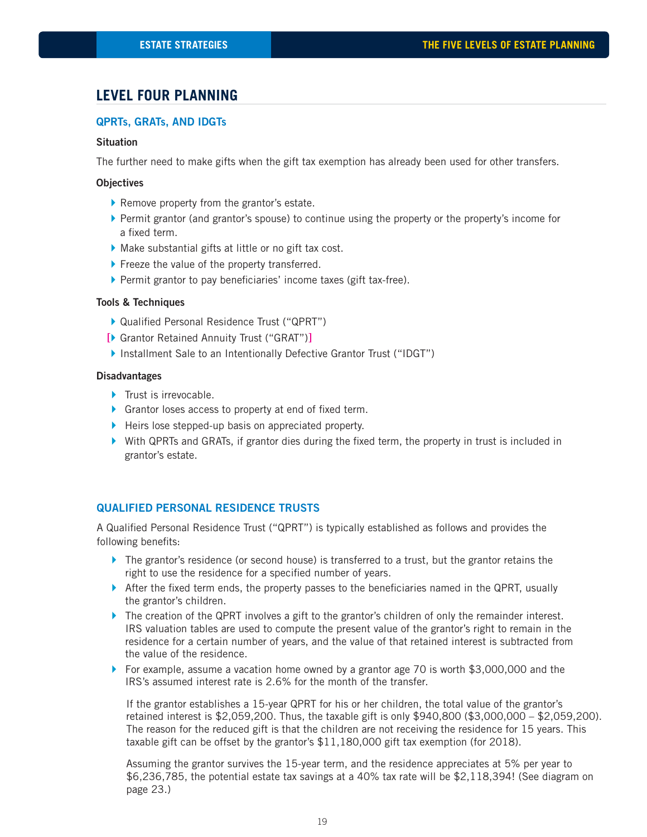# **LEVEL FOUR PLANNING**

#### **QPRTs, GRATs, AND IDGTs**

#### **Situation**

The further need to make gifts when the gift tax exemption has already been used for other transfers.

#### **Objectives**

- } Remove property from the grantor's estate.
- } Permit grantor (and grantor's spouse) to continue using the property or the property's income for a fixed term.
- $\blacktriangleright$  Make substantial gifts at little or no gift tax cost.
- ▶ Freeze the value of the property transferred.
- $\blacktriangleright$  Permit grantor to pay beneficiaries' income taxes (gift tax-free).

#### **Tools & Techniques**

- ▶ Qualified Personal Residence Trust ("QPRT")
- [▶ Grantor Retained Annuity Trust ("GRAT")]
- } Installment Sale to an Intentionally Defective Grantor Trust ("IDGT")

#### **Disadvantages**

- **Trust is irrevocable.**
- $\blacktriangleright$  Grantor loses access to property at end of fixed term.
- ▶ Heirs lose stepped-up basis on appreciated property.
- $\blacktriangleright$  With QPRTs and GRATs, if grantor dies during the fixed term, the property in trust is included in grantor's estate.

#### **QUALIFIED PERSONAL RESIDENCE TRUSTS**

A Qualified Personal Residence Trust ("QPRT") is typically established as follows and provides the following benefits:

- ▶ The grantor's residence (or second house) is transferred to a trust, but the grantor retains the right to use the residence for a specified number of years.
- $\blacktriangleright$  After the fixed term ends, the property passes to the beneficiaries named in the QPRT, usually the grantor's children.
- ▶ The creation of the QPRT involves a gift to the grantor's children of only the remainder interest. IRS valuation tables are used to compute the present value of the grantor's right to remain in the residence for a certain number of years, and the value of that retained interest is subtracted from the value of the residence.
- } For example, assume a vacation home owned by a grantor age 70 is worth \$3,000,000 and the IRS's assumed interest rate is 2.6% for the month of the transfer.

 If the grantor establishes a 15-year QPRT for his or her children, the total value of the grantor's retained interest is \$2,059,200. Thus, the taxable gift is only \$940,800 (\$3,000,000 – \$2,059,200). The reason for the reduced gift is that the children are not receiving the residence for 15 years. This taxable gift can be offset by the grantor's \$11,180,000 gift tax exemption (for 2018).

 Assuming the grantor survives the 15-year term, and the residence appreciates at 5% per year to \$6,236,785, the potential estate tax savings at a 40% tax rate will be \$2,118,394! (See diagram on page 23.)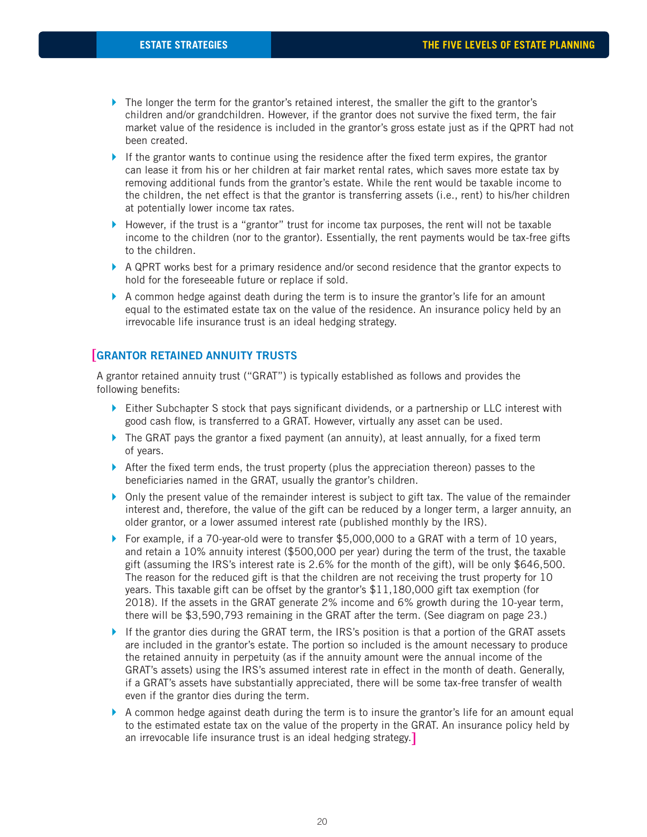- $\blacktriangleright$  The longer the term for the grantor's retained interest, the smaller the gift to the grantor's children and/or grandchildren. However, if the grantor does not survive the fixed term, the fair market value of the residence is included in the grantor's gross estate just as if the QPRT had not been created.
- $\blacktriangleright$  If the grantor wants to continue using the residence after the fixed term expires, the grantor can lease it from his or her children at fair market rental rates, which saves more estate tax by removing additional funds from the grantor's estate. While the rent would be taxable income to the children, the net effect is that the grantor is transferring assets (i.e., rent) to his/her children at potentially lower income tax rates.
- $\blacktriangleright$  However, if the trust is a "grantor" trust for income tax purposes, the rent will not be taxable income to the children (nor to the grantor). Essentially, the rent payments would be tax-free gifts to the children.
- $\blacktriangleright$  A QPRT works best for a primary residence and/or second residence that the grantor expects to hold for the foreseeable future or replace if sold.
- $\blacktriangleright$  A common hedge against death during the term is to insure the grantor's life for an amount equal to the estimated estate tax on the value of the residence. An insurance policy held by an irrevocable life insurance trust is an ideal hedging strategy.

# **GRANTOR RETAINED ANNUITY TRUSTS** [

A grantor retained annuity trust ("GRAT") is typically established as follows and provides the following benefits:

- $\blacktriangleright$  Either Subchapter S stock that pays significant dividends, or a partnership or LLC interest with good cash flow, is transferred to a GRAT. However, virtually any asset can be used.
- $\blacktriangleright$  The GRAT pays the grantor a fixed payment (an annuity), at least annually, for a fixed term of years.
- $\blacktriangleright$  After the fixed term ends, the trust property (plus the appreciation thereon) passes to the beneficiaries named in the GRAT, usually the grantor's children.
- } Only the present value of the remainder interest is subject to gift tax. The value of the remainder interest and, therefore, the value of the gift can be reduced by a longer term, a larger annuity, an older grantor, or a lower assumed interest rate (published monthly by the IRS).
- ▶ For example, if a 70-year-old were to transfer \$5,000,000 to a GRAT with a term of 10 years, and retain a 10% annuity interest (\$500,000 per year) during the term of the trust, the taxable gift (assuming the IRS's interest rate is 2.6% for the month of the gift), will be only \$646,500. The reason for the reduced gift is that the children are not receiving the trust property for 10 years. This taxable gift can be offset by the grantor's \$11,180,000 gift tax exemption (for 2018). If the assets in the GRAT generate 2% income and 6% growth during the 10-year term, there will be \$3,590,793 remaining in the GRAT after the term. (See diagram on page 23.)
- If the grantor dies during the GRAT term, the IRS's position is that a portion of the GRAT assets are included in the grantor's estate. The portion so included is the amount necessary to produce the retained annuity in perpetuity (as if the annuity amount were the annual income of the GRAT's assets) using the IRS's assumed interest rate in effect in the month of death. Generally, if a GRAT's assets have substantially appreciated, there will be some tax-free transfer of wealth even if the grantor dies during the term.
- $\blacktriangleright$  A common hedge against death during the term is to insure the grantor's life for an amount equal to the estimated estate tax on the value of the property in the GRAT. An insurance policy held by an irrevocable life insurance trust is an ideal hedging strategy. [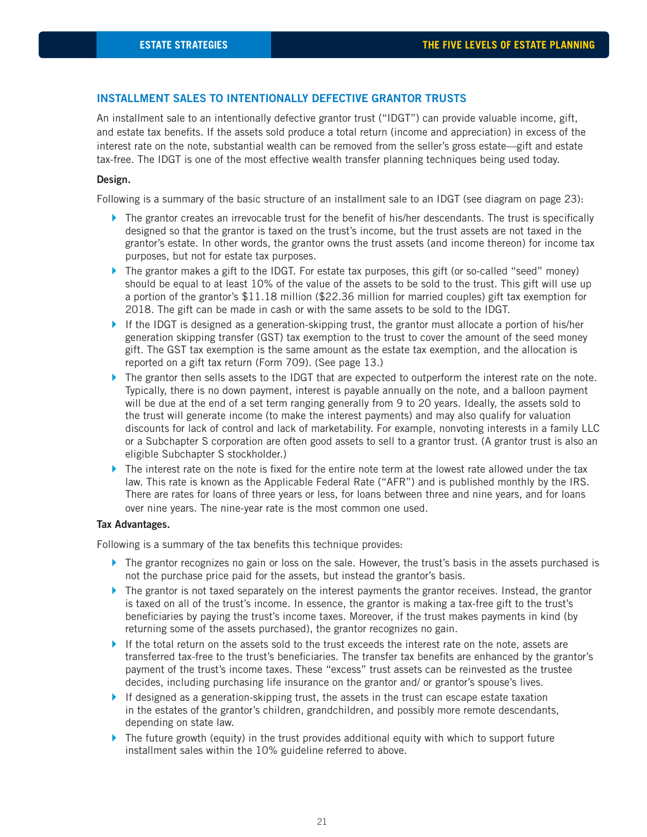### **INSTALLMENT SALES TO INTENTIONALLY DEFECTIVE GRANTOR TRUSTS**

An installment sale to an intentionally defective grantor trust ("IDGT") can provide valuable income, gift, and estate tax benefits. If the assets sold produce a total return (income and appreciation) in excess of the interest rate on the note, substantial wealth can be removed from the seller's gross estate—gift and estate tax-free. The IDGT is one of the most effective wealth transfer planning techniques being used today.

#### **Design.**

Following is a summary of the basic structure of an installment sale to an IDGT (see diagram on page 23):

- $\blacktriangleright$  The grantor creates an irrevocable trust for the benefit of his/her descendants. The trust is specifically designed so that the grantor is taxed on the trust's income, but the trust assets are not taxed in the grantor's estate. In other words, the grantor owns the trust assets (and income thereon) for income tax purposes, but not for estate tax purposes.
- $\blacktriangleright$  The grantor makes a gift to the IDGT. For estate tax purposes, this gift (or so-called "seed" money) should be equal to at least 10% of the value of the assets to be sold to the trust. This gift will use up a portion of the grantor's \$11.18 million (\$22.36 million for married couples) gift tax exemption for 2018. The gift can be made in cash or with the same assets to be sold to the IDGT.
- If the IDGT is designed as a generation-skipping trust, the grantor must allocate a portion of his/her generation skipping transfer (GST) tax exemption to the trust to cover the amount of the seed money gift. The GST tax exemption is the same amount as the estate tax exemption, and the allocation is reported on a gift tax return (Form 709). (See page 13.)
- ▶ The grantor then sells assets to the IDGT that are expected to outperform the interest rate on the note. Typically, there is no down payment, interest is payable annually on the note, and a balloon payment will be due at the end of a set term ranging generally from 9 to 20 years. Ideally, the assets sold to the trust will generate income (to make the interest payments) and may also qualify for valuation discounts for lack of control and lack of marketability. For example, nonvoting interests in a family LLC or a Subchapter S corporation are often good assets to sell to a grantor trust. (A grantor trust is also an eligible Subchapter S stockholder.)
- $\blacktriangleright$  The interest rate on the note is fixed for the entire note term at the lowest rate allowed under the tax law. This rate is known as the Applicable Federal Rate ("AFR") and is published monthly by the IRS. There are rates for loans of three years or less, for loans between three and nine years, and for loans over nine years. The nine-year rate is the most common one used.

#### **Tax Advantages.**

Following is a summary of the tax benefits this technique provides:

- $\blacktriangleright$  The grantor recognizes no gain or loss on the sale. However, the trust's basis in the assets purchased is not the purchase price paid for the assets, but instead the grantor's basis.
- $\blacktriangleright$  The grantor is not taxed separately on the interest payments the grantor receives. Instead, the grantor is taxed on all of the trust's income. In essence, the grantor is making a tax-free gift to the trust's beneficiaries by paying the trust's income taxes. Moreover, if the trust makes payments in kind (by returning some of the assets purchased), the grantor recognizes no gain.
- If the total return on the assets sold to the trust exceeds the interest rate on the note, assets are transferred tax-free to the trust's beneficiaries. The transfer tax benefits are enhanced by the grantor's payment of the trust's income taxes. These "excess" trust assets can be reinvested as the trustee decides, including purchasing life insurance on the grantor and/ or grantor's spouse's lives.
- If designed as a generation-skipping trust, the assets in the trust can escape estate taxation in the estates of the grantor's children, grandchildren, and possibly more remote descendants, depending on state law.
- $\blacktriangleright$  The future growth (equity) in the trust provides additional equity with which to support future installment sales within the 10% guideline referred to above.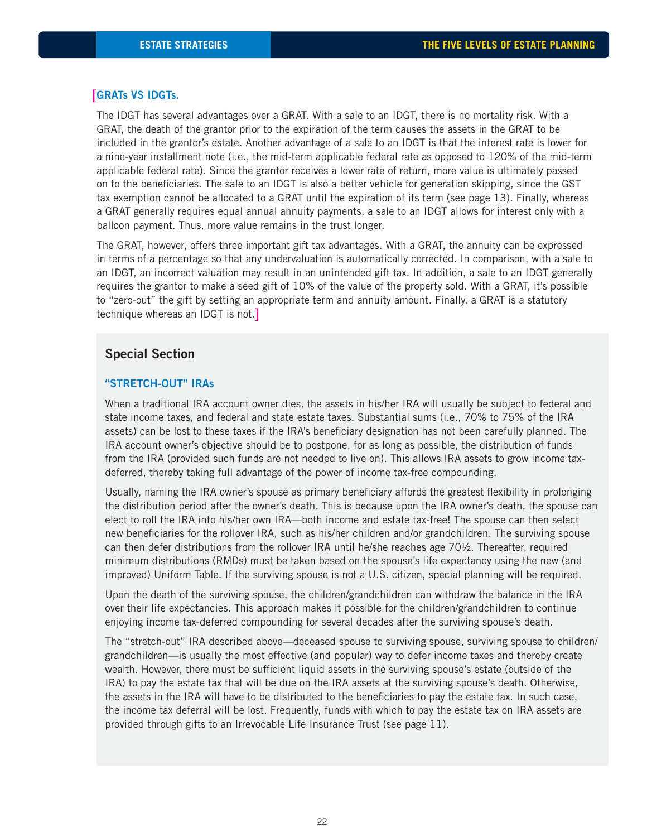# **GRATs VS IDGTs.** [

The IDGT has several advantages over a GRAT. With a sale to an IDGT, there is no mortality risk. With a GRAT, the death of the grantor prior to the expiration of the term causes the assets in the GRAT to be included in the grantor's estate. Another advantage of a sale to an IDGT is that the interest rate is lower for a nine-year installment note (i.e., the mid-term applicable federal rate as opposed to 120% of the mid-term applicable federal rate). Since the grantor receives a lower rate of return, more value is ultimately passed on to the beneficiaries. The sale to an IDGT is also a better vehicle for generation skipping, since the GST tax exemption cannot be allocated to a GRAT until the expiration of its term (see page 13). Finally, whereas a GRAT generally requires equal annual annuity payments, a sale to an IDGT allows for interest only with a balloon payment. Thus, more value remains in the trust longer.

The GRAT, however, offers three important gift tax advantages. With a GRAT, the annuity can be expressed in terms of a percentage so that any undervaluation is automatically corrected. In comparison, with a sale to an IDGT, an incorrect valuation may result in an unintended gift tax. In addition, a sale to an IDGT generally requires the grantor to make a seed gift of 10% of the value of the property sold. With a GRAT, it's possible to "zero-out" the gift by setting an appropriate term and annuity amount. Finally, a GRAT is a statutory technique whereas an IDGT is not. [

### **Special Section**

#### **"STRETCH-OUT" IRAs**

When a traditional IRA account owner dies, the assets in his/her IRA will usually be subject to federal and state income taxes, and federal and state estate taxes. Substantial sums (i.e., 70% to 75% of the IRA assets) can be lost to these taxes if the IRA's beneficiary designation has not been carefully planned. The IRA account owner's objective should be to postpone, for as long as possible, the distribution of funds from the IRA (provided such funds are not needed to live on). This allows IRA assets to grow income taxdeferred, thereby taking full advantage of the power of income tax-free compounding.

Usually, naming the IRA owner's spouse as primary beneficiary affords the greatest flexibility in prolonging the distribution period after the owner's death. This is because upon the IRA owner's death, the spouse can elect to roll the IRA into his/her own IRA—both income and estate tax-free! The spouse can then select new beneficiaries for the rollover IRA, such as his/her children and/or grandchildren. The surviving spouse can then defer distributions from the rollover IRA until he/she reaches age 70½. Thereafter, required minimum distributions (RMDs) must be taken based on the spouse's life expectancy using the new (and improved) Uniform Table. If the surviving spouse is not a U.S. citizen, special planning will be required.

Upon the death of the surviving spouse, the children/grandchildren can withdraw the balance in the IRA over their life expectancies. This approach makes it possible for the children/grandchildren to continue enjoying income tax-deferred compounding for several decades after the surviving spouse's death.

The "stretch-out" IRA described above—deceased spouse to surviving spouse, surviving spouse to children/ grandchildren—is usually the most effective (and popular) way to defer income taxes and thereby create wealth. However, there must be sufficient liquid assets in the surviving spouse's estate (outside of the IRA) to pay the estate tax that will be due on the IRA assets at the surviving spouse's death. Otherwise, the assets in the IRA will have to be distributed to the beneficiaries to pay the estate tax. In such case, the income tax deferral will be lost. Frequently, funds with which to pay the estate tax on IRA assets are provided through gifts to an Irrevocable Life Insurance Trust (see page 11).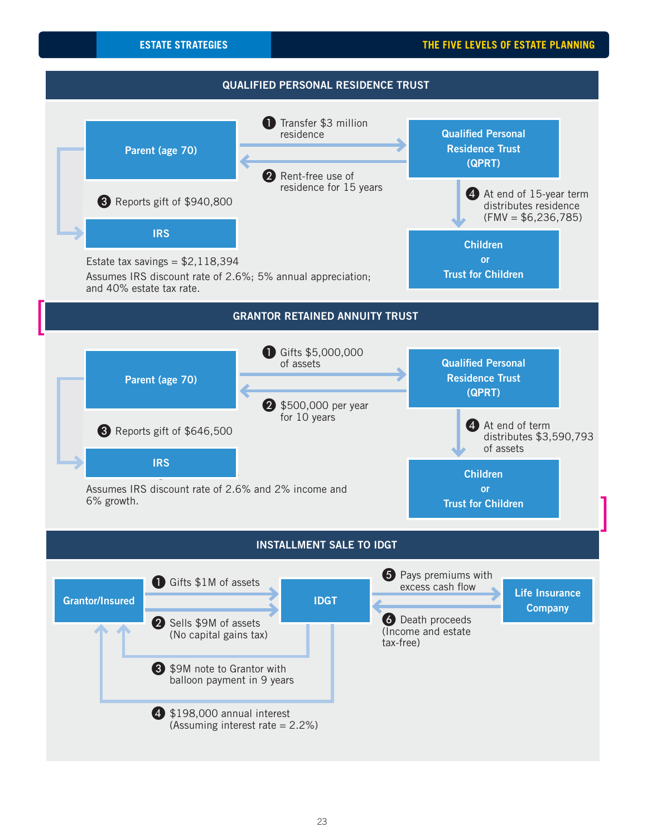

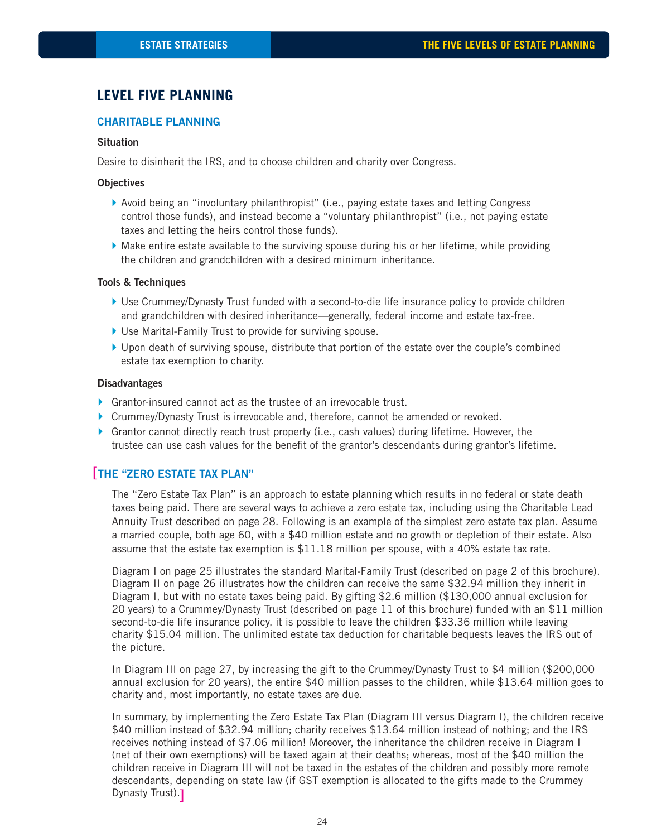# **LEVEL FIVE PLANNING**

### **CHARITABLE PLANNING**

#### **Situation**

Desire to disinherit the IRS, and to choose children and charity over Congress.

#### **Objectives**

- } Avoid being an "involuntary philanthropist" (i.e., paying estate taxes and letting Congress control those funds), and instead become a "voluntary philanthropist" (i.e., not paying estate taxes and letting the heirs control those funds).
- $\blacktriangleright$  Make entire estate available to the surviving spouse during his or her lifetime, while providing the children and grandchildren with a desired minimum inheritance.

#### **Tools & Techniques**

- ▶ Use Crummey/Dynasty Trust funded with a second-to-die life insurance policy to provide children and grandchildren with desired inheritance—generally, federal income and estate tax-free.
- } Use Marital-Family Trust to provide for surviving spouse.
- } Upon death of surviving spouse, distribute that portion of the estate over the couple's combined estate tax exemption to charity.

#### **Disadvantages**

- } Grantor-insured cannot act as the trustee of an irrevocable trust.
- ▶ Crummey/Dynasty Trust is irrevocable and, therefore, cannot be amended or revoked.
- $\blacktriangleright$  Grantor cannot directly reach trust property (i.e., cash values) during lifetime. However, the trustee can use cash values for the benefit of the grantor's descendants during grantor's lifetime.

# **THE "ZERO ESTATE TAX PLAN"** [

The "Zero Estate Tax Plan" is an approach to estate planning which results in no federal or state death taxes being paid. There are several ways to achieve a zero estate tax, including using the Charitable Lead Annuity Trust described on page 28. Following is an example of the simplest zero estate tax plan. Assume a married couple, both age 60, with a \$40 million estate and no growth or depletion of their estate. Also assume that the estate tax exemption is \$11.18 million per spouse, with a 40% estate tax rate.

Diagram I on page 25 illustrates the standard Marital-Family Trust (described on page 2 of this brochure). Diagram II on page 26 illustrates how the children can receive the same \$32.94 million they inherit in Diagram I, but with no estate taxes being paid. By gifting \$2.6 million (\$130,000 annual exclusion for 20 years) to a Crummey/Dynasty Trust (described on page 11 of this brochure) funded with an \$11 million second-to-die life insurance policy, it is possible to leave the children \$33.36 million while leaving charity \$15.04 million. The unlimited estate tax deduction for charitable bequests leaves the IRS out of the picture.

In Diagram III on page 27, by increasing the gift to the Crummey/Dynasty Trust to \$4 million (\$200,000 annual exclusion for 20 years), the entire \$40 million passes to the children, while \$13.64 million goes to charity and, most importantly, no estate taxes are due.

In summary, by implementing the Zero Estate Tax Plan (Diagram III versus Diagram I), the children receive \$40 million instead of \$32.94 million; charity receives \$13.64 million instead of nothing; and the IRS receives nothing instead of \$7.06 million! Moreover, the inheritance the children receive in Diagram I (net of their own exemptions) will be taxed again at their deaths; whereas, most of the \$40 million the children receive in Diagram III will not be taxed in the estates of the children and possibly more remote descendants, depending on state law (if GST exemption is allocated to the gifts made to the Crummey Dynasty Trust). [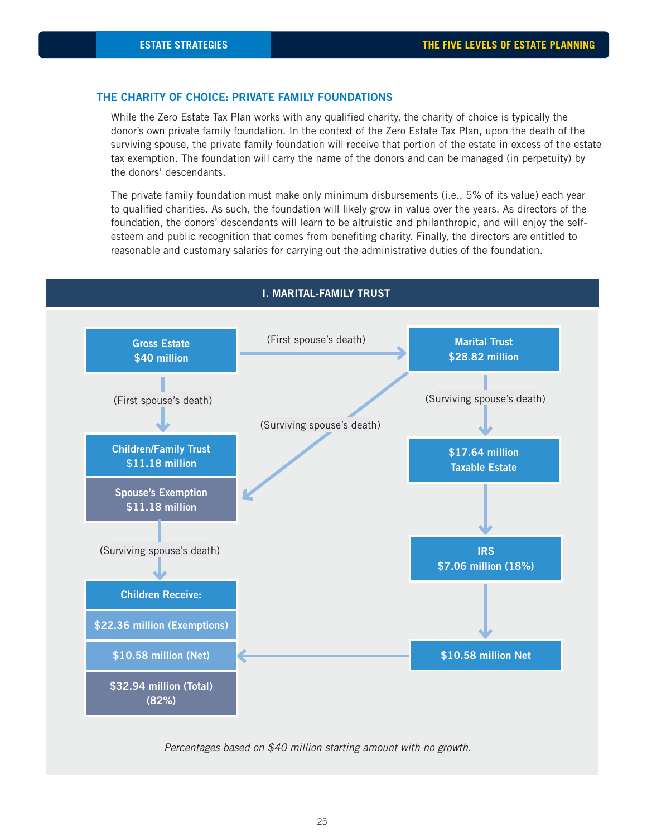#### **THE CHARITY OF CHOICE: PRIVATE FAMILY FOUNDATIONS**

While the Zero Estate Tax Plan works with any qualified charity, the charity of choice is typically the donor's own private family foundation. In the context of the Zero Estate Tax Plan, upon the death of the surviving spouse, the private family foundation will receive that portion of the estate in excess of the estate tax exemption. The foundation will carry the name of the donors and can be managed (in perpetuity) by the donors' descendants.

The private family foundation must make only minimum disbursements (i.e., 5% of its value) each year to qualified charities. As such, the foundation will likely grow in value over the years. As directors of the foundation, the donors' descendants will learn to be altruistic and philanthropic, and will enjoy the selfesteem and public recognition that comes from benefiting charity. Finally, the directors are entitled to reasonable and customary salaries for carrying out the administrative duties of the foundation.



#### **I. MARITAL-FAMILY TRUST**

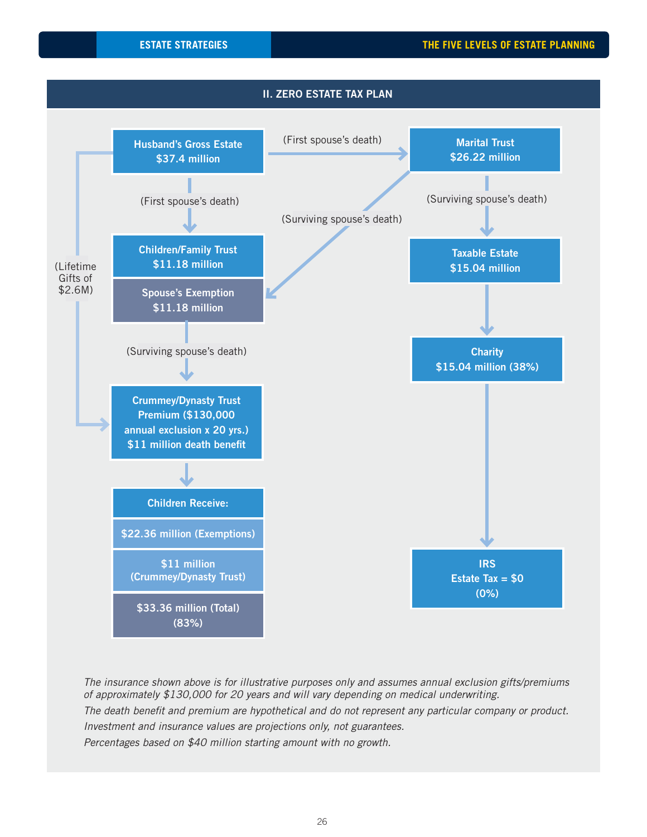

The insurance shown above is for illustrative purposes only and assumes annual exclusion gifts/premiums of approximately \$130,000 for 20 years and will vary depending on medical underwriting. The death benefit and premium are hypothetical and do not represent any particular company or product. Investment and insurance values are projections only, not guarantees. Percentages based on \$40 million starting amount with no growth.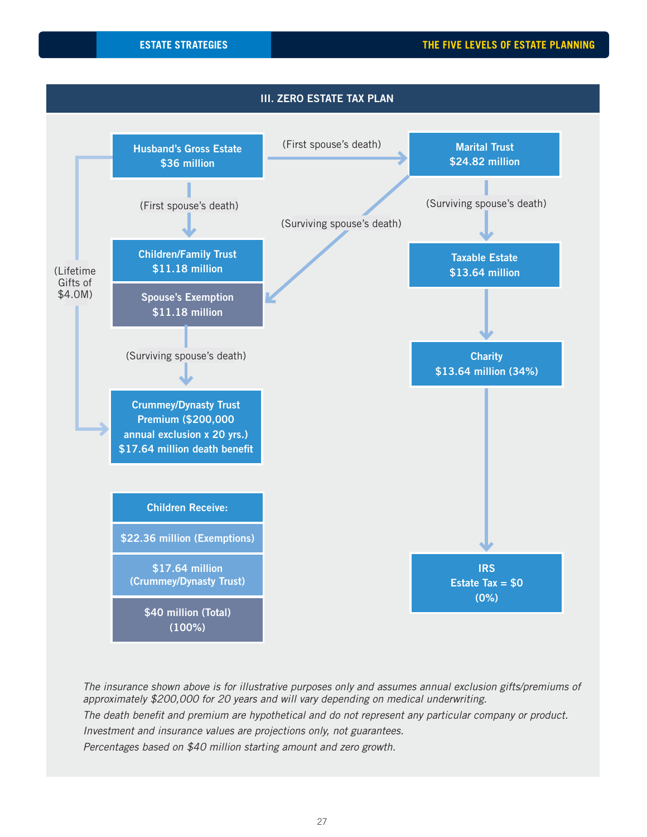

The insurance shown above is for illustrative purposes only and assumes annual exclusion gifts/premiums of approximately \$200,000 for 20 years and will vary depending on medical underwriting. The death benefit and premium are hypothetical and do not represent any particular company or product. Investment and insurance values are projections only, not guarantees. Percentages based on \$40 million starting amount and zero growth.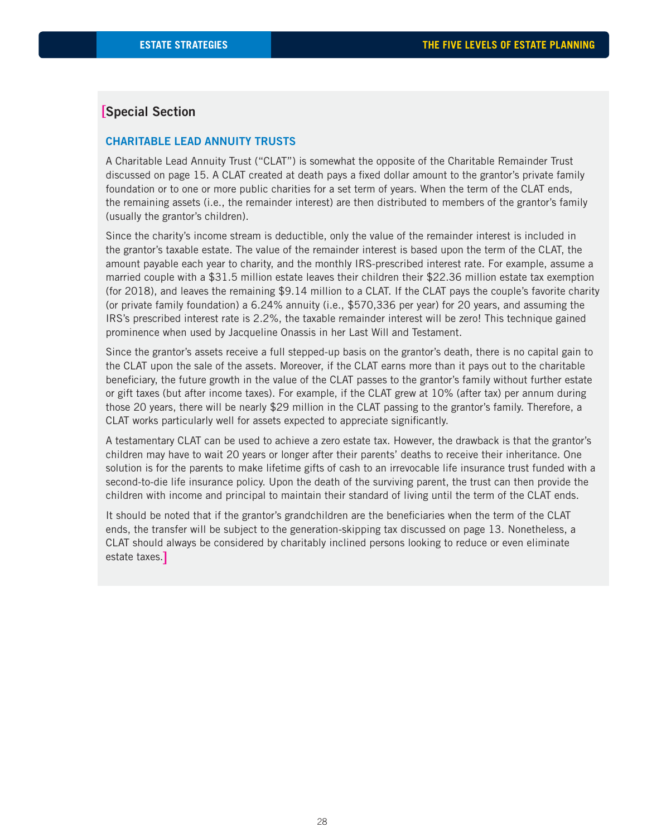# **Special Section** [

#### **CHARITABLE LEAD ANNUITY TRUSTS**

A Charitable Lead Annuity Trust ("CLAT") is somewhat the opposite of the Charitable Remainder Trust discussed on page 15. A CLAT created at death pays a fixed dollar amount to the grantor's private family foundation or to one or more public charities for a set term of years. When the term of the CLAT ends, the remaining assets (i.e., the remainder interest) are then distributed to members of the grantor's family (usually the grantor's children).

Since the charity's income stream is deductible, only the value of the remainder interest is included in the grantor's taxable estate. The value of the remainder interest is based upon the term of the CLAT, the amount payable each year to charity, and the monthly IRS-prescribed interest rate. For example, assume a married couple with a \$31.5 million estate leaves their children their \$22.36 million estate tax exemption (for 2018), and leaves the remaining \$9.14 million to a CLAT. If the CLAT pays the couple's favorite charity (or private family foundation) a 6.24% annuity (i.e., \$570,336 per year) for 20 years, and assuming the IRS's prescribed interest rate is 2.2%, the taxable remainder interest will be zero! This technique gained prominence when used by Jacqueline Onassis in her Last Will and Testament.

Since the grantor's assets receive a full stepped-up basis on the grantor's death, there is no capital gain to the CLAT upon the sale of the assets. Moreover, if the CLAT earns more than it pays out to the charitable beneficiary, the future growth in the value of the CLAT passes to the grantor's family without further estate or gift taxes (but after income taxes). For example, if the CLAT grew at 10% (after tax) per annum during those 20 years, there will be nearly \$29 million in the CLAT passing to the grantor's family. Therefore, a CLAT works particularly well for assets expected to appreciate significantly.

A testamentary CLAT can be used to achieve a zero estate tax. However, the drawback is that the grantor's children may have to wait 20 years or longer after their parents' deaths to receive their inheritance. One solution is for the parents to make lifetime gifts of cash to an irrevocable life insurance trust funded with a second-to-die life insurance policy. Upon the death of the surviving parent, the trust can then provide the children with income and principal to maintain their standard of living until the term of the CLAT ends.

It should be noted that if the grantor's grandchildren are the beneficiaries when the term of the CLAT ends, the transfer will be subject to the generation-skipping tax discussed on page 13. Nonetheless, a CLAT should always be considered by charitably inclined persons looking to reduce or even eliminate estate taxes.]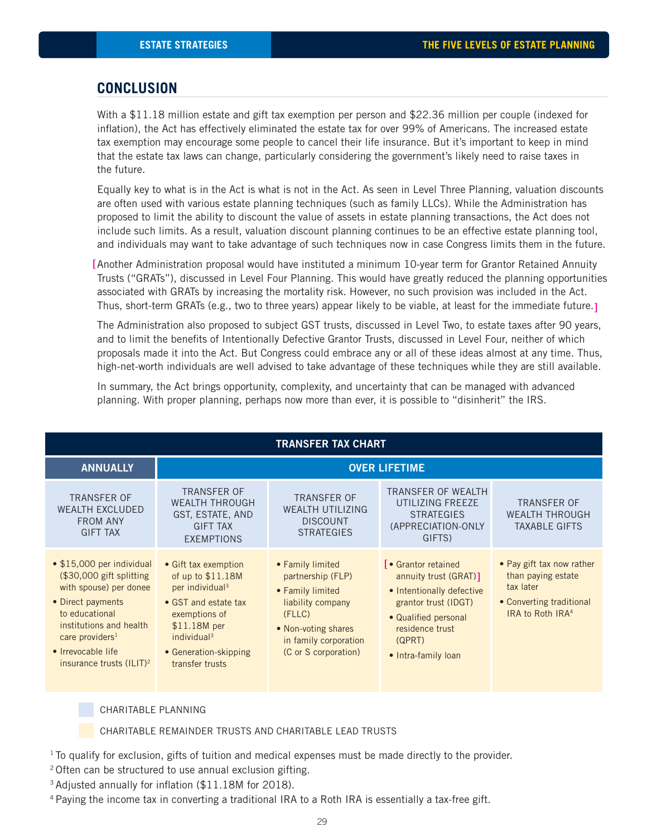# **CONCLUSION**

With a \$11.18 million estate and gift tax exemption per person and \$22.36 million per couple (indexed for inflation), the Act has effectively eliminated the estate tax for over 99% of Americans. The increased estate tax exemption may encourage some people to cancel their life insurance. But it's important to keep in mind that the estate tax laws can change, particularly considering the government's likely need to raise taxes in the future.

Equally key to what is in the Act is what is not in the Act. As seen in Level Three Planning, valuation discounts are often used with various estate planning techniques (such as family LLCs). While the Administration has proposed to limit the ability to discount the value of assets in estate planning transactions, the Act does not include such limits. As a result, valuation discount planning continues to be an effective estate planning tool, and individuals may want to take advantage of such techniques now in case Congress limits them in the future.

[Another Administration proposal would have instituted a minimum 10-year term for Grantor Retained Annuity Trusts ("GRATs"), discussed in Level Four Planning. This would have greatly reduced the planning opportunities associated with GRATs by increasing the mortality risk. However, no such provision was included in the Act. Thus, short-term GRATs (e.g., two to three years) appear likely to be viable, at least for the immediate future. [

The Administration also proposed to subject GST trusts, discussed in Level Two, to estate taxes after 90 years, and to limit the benefits of Intentionally Defective Grantor Trusts, discussed in Level Four, neither of which proposals made it into the Act. But Congress could embrace any or all of these ideas almost at any time. Thus, high-net-worth individuals are well advised to take advantage of these techniques while they are still available.

In summary, the Act brings opportunity, complexity, and uncertainty that can be managed with advanced planning. With proper planning, perhaps now more than ever, it is possible to "disinherit" the IRS.

| <b>TRANSFER TAX CHART</b>                                                                                                                                                                                                                              |                                                                                                                                                                                                          |                                                                                                                                                                  |                                                                                                                                                                                       |                                                                                                                          |  |  |
|--------------------------------------------------------------------------------------------------------------------------------------------------------------------------------------------------------------------------------------------------------|----------------------------------------------------------------------------------------------------------------------------------------------------------------------------------------------------------|------------------------------------------------------------------------------------------------------------------------------------------------------------------|---------------------------------------------------------------------------------------------------------------------------------------------------------------------------------------|--------------------------------------------------------------------------------------------------------------------------|--|--|
| <b>ANNUALLY</b>                                                                                                                                                                                                                                        | <b>OVER LIFETIME</b>                                                                                                                                                                                     |                                                                                                                                                                  |                                                                                                                                                                                       |                                                                                                                          |  |  |
| <b>TRANSFER OF</b><br><b>WEALTH EXCLUDED</b><br><b>FROM ANY</b><br><b>GIFT TAX</b>                                                                                                                                                                     | <b>TRANSFER OF</b><br><b>WEALTH THROUGH</b><br>GST, ESTATE, AND<br><b>GIFT TAX</b><br><b>EXEMPTIONS</b>                                                                                                  | <b>TRANSFER OF</b><br><b>WEALTH UTILIZING</b><br><b>DISCOUNT</b><br><b>STRATEGIES</b>                                                                            | TRANSFER OF WEALTH<br>UTILIZING FREEZE<br><b>STRATEGIES</b><br>(APPRECIATION-ONLY<br>GIFTS)                                                                                           | <b>TRANSFER OF</b><br><b>WEALTH THROUGH</b><br><b>TAXABLE GIFTS</b>                                                      |  |  |
| $\bullet$ \$15,000 per individual<br>$$30,000$ gift splitting<br>with spouse) per donee<br>• Direct payments<br>to educational<br>institutions and health<br>care providers <sup>1</sup><br>• Irrevocable life<br>insurance trusts (ILIT) <sup>2</sup> | • Gift tax exemption<br>of up to \$11.18M<br>per individual <sup>3</sup><br>• GST and estate tax<br>exemptions of<br>\$11.18M per<br>individual <sup>3</sup><br>• Generation-skipping<br>transfer trusts | • Family limited<br>partnership (FLP)<br>• Family limited<br>liability company<br>(FLLC)<br>• Non-voting shares<br>in family corporation<br>(C or S corporation) | <b>「</b> • Grantor retained<br>annuity trust (GRAT)]<br>• Intentionally defective<br>grantor trust (IDGT)<br>· Qualified personal<br>residence trust<br>(QPRT)<br>• Intra-family loan | • Pay gift tax now rather<br>than paying estate<br>tax later<br>• Converting traditional<br>IRA to Roth IRA <sup>4</sup> |  |  |

#### CHARITABLE PLANNING

CHARITABLE REMAINDER TRUSTS AND CHARITABLE LEAD TRUSTS

<sup>1</sup> To qualify for exclusion, gifts of tuition and medical expenses must be made directly to the provider.

- 2 Often can be structured to use annual exclusion gifting.
- <sup>3</sup> Adjusted annually for inflation (\$11.18M for 2018).
- 4 Paying the income tax in converting a traditional IRA to a Roth IRA is essentially a tax-free gift.